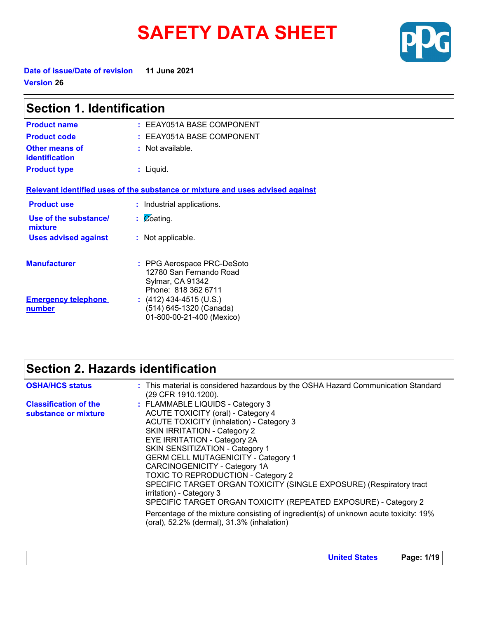# **SAFETY DATA SHEET**



**Date of issue/Date of revision 11 June 2021 Version 26**

| <b>Section 1. Identification</b>     |                                                                                                        |  |
|--------------------------------------|--------------------------------------------------------------------------------------------------------|--|
| <b>Product name</b>                  | : EEAY051A BASE COMPONENT                                                                              |  |
| <b>Product code</b>                  | : EEAY051A BASE COMPONENT                                                                              |  |
| Other means of<br>identification     | : Not available.                                                                                       |  |
| <b>Product type</b>                  | $:$ Liquid.                                                                                            |  |
|                                      | Relevant identified uses of the substance or mixture and uses advised against                          |  |
| <b>Product use</b>                   | : Industrial applications.                                                                             |  |
| Use of the substance/<br>mixture     | $\mathcal{L}$ Coating.                                                                                 |  |
| <b>Uses advised against</b>          | : Not applicable.                                                                                      |  |
| <b>Manufacturer</b>                  | : PPG Aerospace PRC-DeSoto<br>12780 San Fernando Road<br>Sylmar, CA 91342                              |  |
| <b>Emergency telephone</b><br>number | Phone: 818 362 6711<br>$(412)$ 434-4515 (U.S.)<br>(514) 645-1320 (Canada)<br>01-800-00-21-400 (Mexico) |  |

# **Section 2. Hazards identification**

| <b>OSHA/HCS status</b>                               | : This material is considered hazardous by the OSHA Hazard Communication Standard<br>(29 CFR 1910.1200).                                                                                                                                                                                                                                                                                                                                                                                                                                                                                                                                                                    |
|------------------------------------------------------|-----------------------------------------------------------------------------------------------------------------------------------------------------------------------------------------------------------------------------------------------------------------------------------------------------------------------------------------------------------------------------------------------------------------------------------------------------------------------------------------------------------------------------------------------------------------------------------------------------------------------------------------------------------------------------|
| <b>Classification of the</b><br>substance or mixture | : FLAMMABLE LIQUIDS - Category 3<br>ACUTE TOXICITY (oral) - Category 4<br><b>ACUTE TOXICITY (inhalation) - Category 3</b><br><b>SKIN IRRITATION - Category 2</b><br>EYE IRRITATION - Category 2A<br>SKIN SENSITIZATION - Category 1<br><b>GERM CELL MUTAGENICITY - Category 1</b><br>CARCINOGENICITY - Category 1A<br><b>TOXIC TO REPRODUCTION - Category 2</b><br>SPECIFIC TARGET ORGAN TOXICITY (SINGLE EXPOSURE) (Respiratory tract<br>irritation) - Category 3<br>SPECIFIC TARGET ORGAN TOXICITY (REPEATED EXPOSURE) - Category 2<br>Percentage of the mixture consisting of ingredient(s) of unknown acute toxicity: 19%<br>(oral), 52.2% (dermal), 31.3% (inhalation) |
|                                                      |                                                                                                                                                                                                                                                                                                                                                                                                                                                                                                                                                                                                                                                                             |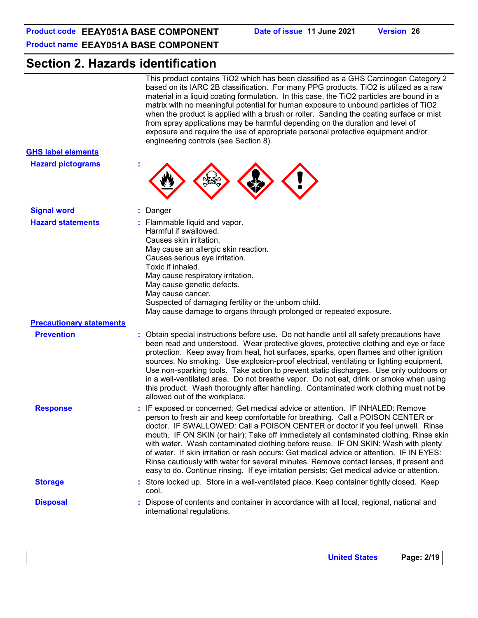# **Product name EEAY051A BASE COMPONENT Product code EEAY051A BASE COMPONENT Date of issue 11 June 2021 Version 26**

**Section 2. Hazards identification**

This product contains TiO2 which has been classified as a GHS Carcinogen Category 2 based on its IARC 2B classification. For many PPG products, TiO2 is utilized as a raw material in a liquid coating formulation. In this case, the TiO2 particles are bound in a matrix with no meaningful potential for human exposure to unbound particles of TiO2 when the product is applied with a brush or roller. Sanding the coating surface or mist from spray applications may be harmful depending on the duration and level of exposure and require the use of appropriate personal protective equipment and/or engineering controls (see Section 8).

#### **Signal word :** Danger **Hazard statements :** Flammable liquid and vapor. Harmful if swallowed. Causes skin irritation. May cause an allergic skin reaction. Causes serious eye irritation. Toxic if inhaled. May cause respiratory irritation. May cause genetic defects. May cause cancer. Suspected of damaging fertility or the unborn child. May cause damage to organs through prolonged or repeated exposure. **Hazard pictograms : Precautionary statements Prevention :** Obtain special instructions before use. Do not handle until all safety precautions have been read and understood. Wear protective gloves, protective clothing and eye or face protection. Keep away from heat, hot surfaces, sparks, open flames and other ignition sources. No smoking. Use explosion-proof electrical, ventilating or lighting equipment. Use non-sparking tools. Take action to prevent static discharges. Use only outdoors or in a well-ventilated area. Do not breathe vapor. Do not eat, drink or smoke when using this product. Wash thoroughly after handling. Contaminated work clothing must not be allowed out of the workplace. **Response :** IF exposed or concerned: Get medical advice or attention. IF INHALED: Remove person to fresh air and keep comfortable for breathing. Call a POISON CENTER or doctor. IF SWALLOWED: Call a POISON CENTER or doctor if you feel unwell. Rinse mouth. IF ON SKIN (or hair): Take off immediately all contaminated clothing. Rinse skin with water. Wash contaminated clothing before reuse. IF ON SKIN: Wash with plenty of water. If skin irritation or rash occurs: Get medical advice or attention. IF IN EYES: Rinse cautiously with water for several minutes. Remove contact lenses, if present and easy to do. Continue rinsing. If eye irritation persists: Get medical advice or attention. **Storage 19. Store locked up. Store in a well-ventilated place. Keep container tightly closed. Keep container tightly closed. Keep** cool. **Disposal :** Dispose of contents and container in accordance with all local, regional, national and international regulations. **GHS label elements**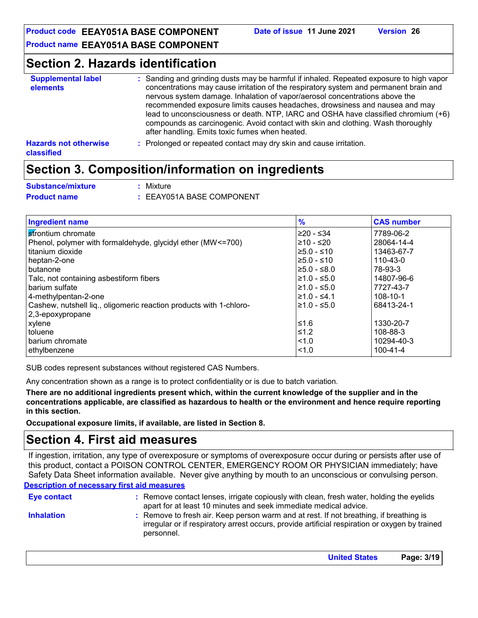# **Section 2. Hazards identification**

| <b>Supplemental label</b><br>elements      | : Sanding and grinding dusts may be harmful if inhaled. Repeated exposure to high vapor<br>concentrations may cause irritation of the respiratory system and permanent brain and<br>nervous system damage. Inhalation of vapor/aerosol concentrations above the<br>recommended exposure limits causes headaches, drowsiness and nausea and may<br>lead to unconsciousness or death. NTP, IARC and OSHA have classified chromium (+6)<br>compounds as carcinogenic. Avoid contact with skin and clothing. Wash thoroughly<br>after handling. Emits toxic fumes when heated. |
|--------------------------------------------|----------------------------------------------------------------------------------------------------------------------------------------------------------------------------------------------------------------------------------------------------------------------------------------------------------------------------------------------------------------------------------------------------------------------------------------------------------------------------------------------------------------------------------------------------------------------------|
| <b>Hazards not otherwise</b><br>classified | : Prolonged or repeated contact may dry skin and cause irritation.                                                                                                                                                                                                                                                                                                                                                                                                                                                                                                         |

# **Section 3. Composition/information on ingredients**

| <b>Substance/mixture</b> | : Mixture            |
|--------------------------|----------------------|
| <b>Product name</b>      | $\cdot$ FFAY051A RAS |

**Product name :** EEAY051A BASE COMPONENT

| <b>Ingredient name</b>                                             | $\frac{9}{6}$ | <b>CAS number</b> |
|--------------------------------------------------------------------|---------------|-------------------|
| strontium chromate                                                 | ≥20 - ≤34     | 7789-06-2         |
| Phenol, polymer with formaldehyde, glycidyl ether (MW<=700)        | 210 - ≤20     | 28064-14-4        |
| titanium dioxide                                                   | $≥5.0 - ≤10$  | 13463-67-7        |
| heptan-2-one                                                       | ≥5.0 - ≤10    | 110-43-0          |
| butanone                                                           | l≥5.0 - ≤8.0  | 78-93-3           |
| Talc, not containing asbestiform fibers                            | l≥1.0 - ≤5.0  | 14807-96-6        |
| barium sulfate                                                     | $≥1.0 - ≤5.0$ | 7727-43-7         |
| 4-methylpentan-2-one                                               | $≥1.0 - ≤4.1$ | 108-10-1          |
| Cashew, nutshell liq., oligomeric reaction products with 1-chloro- | $≥1.0 - ≤5.0$ | 68413-24-1        |
| 2,3-epoxypropane                                                   |               |                   |
| xylene                                                             | 1.6≥          | 1330-20-7         |
| toluene                                                            | 1.2≥∫         | 108-88-3          |
| barium chromate                                                    | < 1.0         | 10294-40-3        |
| ethylbenzene                                                       | < 1.0         | $100 - 41 - 4$    |

SUB codes represent substances without registered CAS Numbers.

Any concentration shown as a range is to protect confidentiality or is due to batch variation.

**There are no additional ingredients present which, within the current knowledge of the supplier and in the concentrations applicable, are classified as hazardous to health or the environment and hence require reporting in this section.**

**Occupational exposure limits, if available, are listed in Section 8.**

# **Section 4. First aid measures**

**Description of necessary first aid measures** If ingestion, irritation, any type of overexposure or symptoms of overexposure occur during or persists after use of this product, contact a POISON CONTROL CENTER, EMERGENCY ROOM OR PHYSICIAN immediately; have Safety Data Sheet information available. Never give anything by mouth to an unconscious or convulsing person.

# **Eye contact**

**Inhalation :**

- **:** Remove contact lenses, irrigate copiously with clean, fresh water, holding the eyelids apart for at least 10 minutes and seek immediate medical advice.
- Remove to fresh air. Keep person warm and at rest. If not breathing, if breathing is irregular or if respiratory arrest occurs, provide artificial respiration or oxygen by trained personnel.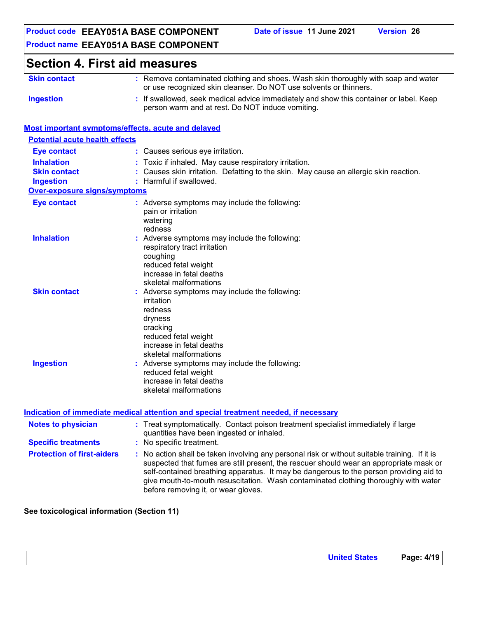# **Section 4. First aid measures**

| <b>Skin contact</b> | : Remove contaminated clothing and shoes. Wash skin thoroughly with soap and water     |
|---------------------|----------------------------------------------------------------------------------------|
|                     | or use recognized skin cleanser. Do NOT use solvents or thinners.                      |
| <b>Ingestion</b>    | : If swallowed, seek medical advice immediately and show this container or label. Keep |
|                     | person warm and at rest. Do NOT induce vomiting.                                       |

#### **Most important symptoms/effects, acute and delayed**

| <b>Potential acute health effects</b> |                                                                                                                                                                             |
|---------------------------------------|-----------------------------------------------------------------------------------------------------------------------------------------------------------------------------|
| <b>Eye contact</b>                    | : Causes serious eye irritation.                                                                                                                                            |
| <b>Inhalation</b>                     | Toxic if inhaled. May cause respiratory irritation.                                                                                                                         |
| <b>Skin contact</b>                   | Causes skin irritation. Defatting to the skin. May cause an allergic skin reaction.                                                                                         |
| <b>Ingestion</b>                      | : Harmful if swallowed.                                                                                                                                                     |
| <b>Over-exposure signs/symptoms</b>   |                                                                                                                                                                             |
| <b>Eye contact</b>                    | : Adverse symptoms may include the following:<br>pain or irritation<br>watering<br>redness                                                                                  |
| <b>Inhalation</b>                     | : Adverse symptoms may include the following:<br>respiratory tract irritation<br>coughing<br>reduced fetal weight<br>increase in fetal deaths<br>skeletal malformations     |
| <b>Skin contact</b>                   | : Adverse symptoms may include the following:<br>irritation<br>redness<br>dryness<br>cracking<br>reduced fetal weight<br>increase in fetal deaths<br>skeletal malformations |
| <b>Ingestion</b>                      | : Adverse symptoms may include the following:<br>reduced fetal weight<br>increase in fetal deaths<br>skeletal malformations                                                 |
|                                       | Indication of immediate medical attention and special treatment needed. if necessary                                                                                        |

| <b>Notes to physician</b><br><b>Specific treatments</b> | : Treat symptomatically. Contact poison treatment specialist immediately if large<br>quantities have been ingested or inhaled.<br>: No specific treatment.                                                                                                                                                                                                                                                      |  |
|---------------------------------------------------------|-----------------------------------------------------------------------------------------------------------------------------------------------------------------------------------------------------------------------------------------------------------------------------------------------------------------------------------------------------------------------------------------------------------------|--|
| <b>Protection of first-aiders</b>                       | : No action shall be taken involving any personal risk or without suitable training. If it is<br>suspected that fumes are still present, the rescuer should wear an appropriate mask or<br>self-contained breathing apparatus. It may be dangerous to the person providing aid to<br>give mouth-to-mouth resuscitation. Wash contaminated clothing thoroughly with water<br>before removing it, or wear gloves. |  |

**See toxicological information (Section 11)**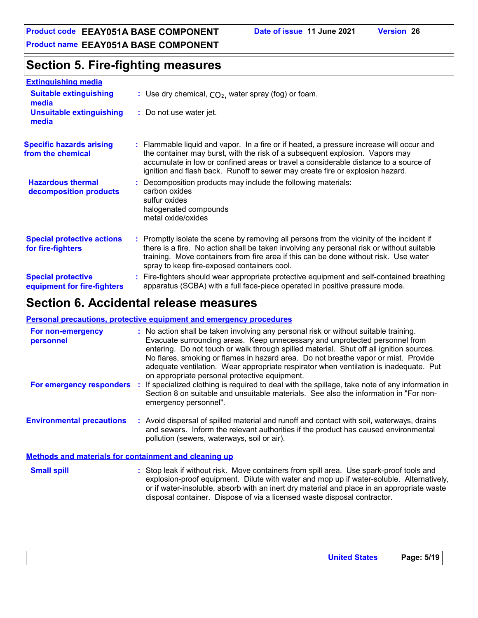**Section 5. Fire-fighting measures**

| <b>Extinguishing media</b>                               |                                                                                                                                                                                                                                                                                                                                                   |
|----------------------------------------------------------|---------------------------------------------------------------------------------------------------------------------------------------------------------------------------------------------------------------------------------------------------------------------------------------------------------------------------------------------------|
| <b>Suitable extinguishing</b><br>media                   | : Use dry chemical, $CO2$ , water spray (fog) or foam.                                                                                                                                                                                                                                                                                            |
| <b>Unsuitable extinguishing</b><br>media                 | : Do not use water jet.                                                                                                                                                                                                                                                                                                                           |
| <b>Specific hazards arising</b><br>from the chemical     | : Flammable liquid and vapor. In a fire or if heated, a pressure increase will occur and<br>the container may burst, with the risk of a subsequent explosion. Vapors may<br>accumulate in low or confined areas or travel a considerable distance to a source of<br>ignition and flash back. Runoff to sewer may create fire or explosion hazard. |
| <b>Hazardous thermal</b><br>decomposition products       | Decomposition products may include the following materials:<br>carbon oxides<br>sulfur oxides<br>halogenated compounds<br>metal oxide/oxides                                                                                                                                                                                                      |
| <b>Special protective actions</b><br>for fire-fighters   | : Promptly isolate the scene by removing all persons from the vicinity of the incident if<br>there is a fire. No action shall be taken involving any personal risk or without suitable<br>training. Move containers from fire area if this can be done without risk. Use water<br>spray to keep fire-exposed containers cool.                     |
| <b>Special protective</b><br>equipment for fire-fighters | : Fire-fighters should wear appropriate protective equipment and self-contained breathing<br>apparatus (SCBA) with a full face-piece operated in positive pressure mode.                                                                                                                                                                          |

# **Section 6. Accidental release measures**

#### **Personal precautions, protective equipment and emergency procedures**

| For non-emergency<br>personnel                        | : No action shall be taken involving any personal risk or without suitable training.<br>Evacuate surrounding areas. Keep unnecessary and unprotected personnel from<br>entering. Do not touch or walk through spilled material. Shut off all ignition sources.<br>No flares, smoking or flames in hazard area. Do not breathe vapor or mist. Provide<br>adequate ventilation. Wear appropriate respirator when ventilation is inadequate. Put<br>on appropriate personal protective equipment. |
|-------------------------------------------------------|------------------------------------------------------------------------------------------------------------------------------------------------------------------------------------------------------------------------------------------------------------------------------------------------------------------------------------------------------------------------------------------------------------------------------------------------------------------------------------------------|
| For emergency responders                              | : If specialized clothing is required to deal with the spillage, take note of any information in<br>Section 8 on suitable and unsuitable materials. See also the information in "For non-<br>emergency personnel".                                                                                                                                                                                                                                                                             |
| <b>Environmental precautions</b>                      | : Avoid dispersal of spilled material and runoff and contact with soil, waterways, drains<br>and sewers. Inform the relevant authorities if the product has caused environmental<br>pollution (sewers, waterways, soil or air).                                                                                                                                                                                                                                                                |
| Methods and materials for containment and cleaning up |                                                                                                                                                                                                                                                                                                                                                                                                                                                                                                |
| <b>Small spill</b>                                    | : Stop leak if without risk. Move containers from spill area. Use spark-proof tools and<br>explosion-proof equipment. Dilute with water and mop up if water-soluble. Alternatively,                                                                                                                                                                                                                                                                                                            |

or if water-insoluble, absorb with an inert dry material and place in an appropriate waste

disposal container. Dispose of via a licensed waste disposal contractor.

**United States Page: 5/19**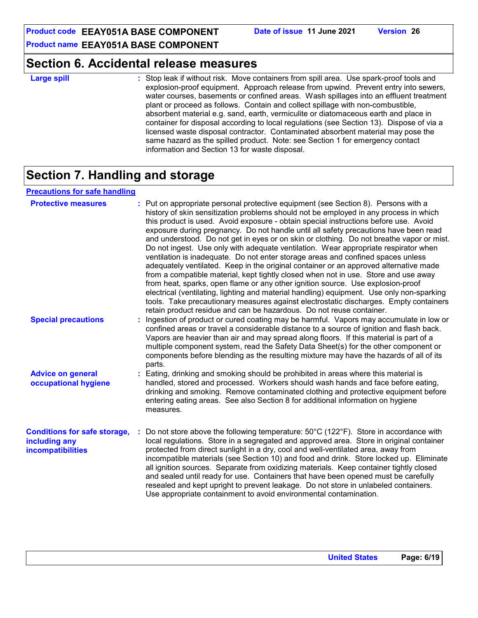# **Section 6. Accidental release measures**

#### **Large spill :**

Stop leak if without risk. Move containers from spill area. Use spark-proof tools and explosion-proof equipment. Approach release from upwind. Prevent entry into sewers, water courses, basements or confined areas. Wash spillages into an effluent treatment plant or proceed as follows. Contain and collect spillage with non-combustible, absorbent material e.g. sand, earth, vermiculite or diatomaceous earth and place in container for disposal according to local regulations (see Section 13). Dispose of via a licensed waste disposal contractor. Contaminated absorbent material may pose the same hazard as the spilled product. Note: see Section 1 for emergency contact information and Section 13 for waste disposal.

# **Section 7. Handling and storage**

#### **Precautions for safe handling**

| <b>Protective measures</b>                                                       | : Put on appropriate personal protective equipment (see Section 8). Persons with a<br>history of skin sensitization problems should not be employed in any process in which<br>this product is used. Avoid exposure - obtain special instructions before use. Avoid<br>exposure during pregnancy. Do not handle until all safety precautions have been read<br>and understood. Do not get in eyes or on skin or clothing. Do not breathe vapor or mist.<br>Do not ingest. Use only with adequate ventilation. Wear appropriate respirator when<br>ventilation is inadequate. Do not enter storage areas and confined spaces unless<br>adequately ventilated. Keep in the original container or an approved alternative made<br>from a compatible material, kept tightly closed when not in use. Store and use away<br>from heat, sparks, open flame or any other ignition source. Use explosion-proof<br>electrical (ventilating, lighting and material handling) equipment. Use only non-sparking<br>tools. Take precautionary measures against electrostatic discharges. Empty containers<br>retain product residue and can be hazardous. Do not reuse container. |
|----------------------------------------------------------------------------------|---------------------------------------------------------------------------------------------------------------------------------------------------------------------------------------------------------------------------------------------------------------------------------------------------------------------------------------------------------------------------------------------------------------------------------------------------------------------------------------------------------------------------------------------------------------------------------------------------------------------------------------------------------------------------------------------------------------------------------------------------------------------------------------------------------------------------------------------------------------------------------------------------------------------------------------------------------------------------------------------------------------------------------------------------------------------------------------------------------------------------------------------------------------------|
| <b>Special precautions</b>                                                       | : Ingestion of product or cured coating may be harmful. Vapors may accumulate in low or<br>confined areas or travel a considerable distance to a source of ignition and flash back.<br>Vapors are heavier than air and may spread along floors. If this material is part of a<br>multiple component system, read the Safety Data Sheet(s) for the other component or<br>components before blending as the resulting mixture may have the hazards of all of its<br>parts.                                                                                                                                                                                                                                                                                                                                                                                                                                                                                                                                                                                                                                                                                            |
| <b>Advice on general</b><br>occupational hygiene                                 | : Eating, drinking and smoking should be prohibited in areas where this material is<br>handled, stored and processed. Workers should wash hands and face before eating,<br>drinking and smoking. Remove contaminated clothing and protective equipment before<br>entering eating areas. See also Section 8 for additional information on hygiene<br>measures.                                                                                                                                                                                                                                                                                                                                                                                                                                                                                                                                                                                                                                                                                                                                                                                                       |
| <b>Conditions for safe storage,</b><br>including any<br><b>incompatibilities</b> | Do not store above the following temperature: $50^{\circ}$ C (122 $^{\circ}$ F). Store in accordance with<br>local regulations. Store in a segregated and approved area. Store in original container<br>protected from direct sunlight in a dry, cool and well-ventilated area, away from<br>incompatible materials (see Section 10) and food and drink. Store locked up. Eliminate<br>all ignition sources. Separate from oxidizing materials. Keep container tightly closed<br>and sealed until ready for use. Containers that have been opened must be carefully<br>resealed and kept upright to prevent leakage. Do not store in unlabeled containers.<br>Use appropriate containment to avoid environmental contamination.                                                                                                                                                                                                                                                                                                                                                                                                                                     |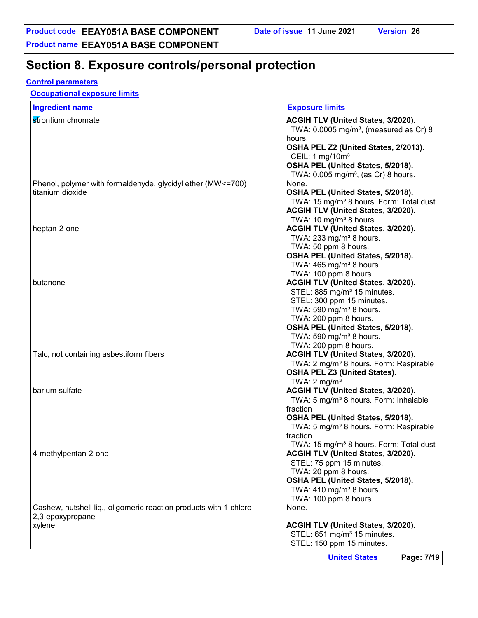# **Section 8. Exposure controls/personal protection**

## **Control parameters**

# **Occupational exposure limits**

| <b>Ingredient name</b>                                             | <b>Exposure limits</b>                                      |
|--------------------------------------------------------------------|-------------------------------------------------------------|
| strontium chromate                                                 | ACGIH TLV (United States, 3/2020).                          |
|                                                                    | TWA: $0.0005$ mg/m <sup>3</sup> , (measured as Cr) 8        |
|                                                                    | hours.                                                      |
|                                                                    | OSHA PEL Z2 (United States, 2/2013).                        |
|                                                                    | CEIL: 1 mg/10m <sup>3</sup>                                 |
|                                                                    | OSHA PEL (United States, 5/2018).                           |
|                                                                    | TWA: $0.005$ mg/m <sup>3</sup> , (as Cr) 8 hours.           |
| Phenol, polymer with formaldehyde, glycidyl ether (MW<=700)        | None.                                                       |
| titanium dioxide                                                   | OSHA PEL (United States, 5/2018).                           |
|                                                                    | TWA: 15 mg/m <sup>3</sup> 8 hours. Form: Total dust         |
|                                                                    | <b>ACGIH TLV (United States, 3/2020).</b>                   |
|                                                                    | TWA: 10 mg/m <sup>3</sup> 8 hours.                          |
| heptan-2-one                                                       | ACGIH TLV (United States, 3/2020).                          |
|                                                                    | TWA: $233$ mg/m <sup>3</sup> 8 hours.                       |
|                                                                    | TWA: 50 ppm 8 hours.                                        |
|                                                                    | OSHA PEL (United States, 5/2018).                           |
|                                                                    | TWA: $465$ mg/m <sup>3</sup> 8 hours.                       |
|                                                                    | TWA: 100 ppm 8 hours.                                       |
| butanone                                                           | ACGIH TLV (United States, 3/2020).                          |
|                                                                    | STEL: 885 mg/m <sup>3</sup> 15 minutes.                     |
|                                                                    | STEL: 300 ppm 15 minutes.                                   |
|                                                                    | TWA: 590 mg/m <sup>3</sup> 8 hours.                         |
|                                                                    | TWA: 200 ppm 8 hours.                                       |
|                                                                    | OSHA PEL (United States, 5/2018).                           |
|                                                                    | TWA: 590 mg/m <sup>3</sup> 8 hours.                         |
|                                                                    | TWA: 200 ppm 8 hours.<br>ACGIH TLV (United States, 3/2020). |
| Talc, not containing asbestiform fibers                            | TWA: 2 mg/m <sup>3</sup> 8 hours. Form: Respirable          |
|                                                                    | <b>OSHA PEL Z3 (United States).</b>                         |
|                                                                    | TWA: $2 \text{ mg/m}^3$                                     |
| barium sulfate                                                     | ACGIH TLV (United States, 3/2020).                          |
|                                                                    | TWA: 5 mg/m <sup>3</sup> 8 hours. Form: Inhalable           |
|                                                                    | fraction                                                    |
|                                                                    | OSHA PEL (United States, 5/2018).                           |
|                                                                    | TWA: 5 mg/m <sup>3</sup> 8 hours. Form: Respirable          |
|                                                                    | fraction                                                    |
|                                                                    | TWA: 15 mg/m <sup>3</sup> 8 hours. Form: Total dust         |
| 4-methylpentan-2-one                                               | ACGIH TLV (United States, 3/2020).                          |
|                                                                    | STEL: 75 ppm 15 minutes.                                    |
|                                                                    | TWA: 20 ppm 8 hours.                                        |
|                                                                    | OSHA PEL (United States, 5/2018).                           |
|                                                                    | TWA: $410$ mg/m <sup>3</sup> 8 hours.                       |
|                                                                    | TWA: 100 ppm 8 hours.                                       |
| Cashew, nutshell liq., oligomeric reaction products with 1-chloro- | None.                                                       |
| 2,3-epoxypropane                                                   |                                                             |
| xylene                                                             | ACGIH TLV (United States, 3/2020).                          |
|                                                                    | STEL: 651 mg/m <sup>3</sup> 15 minutes.                     |
|                                                                    | STEL: 150 ppm 15 minutes.                                   |
|                                                                    | <b>United States</b><br>Page: 7/19                          |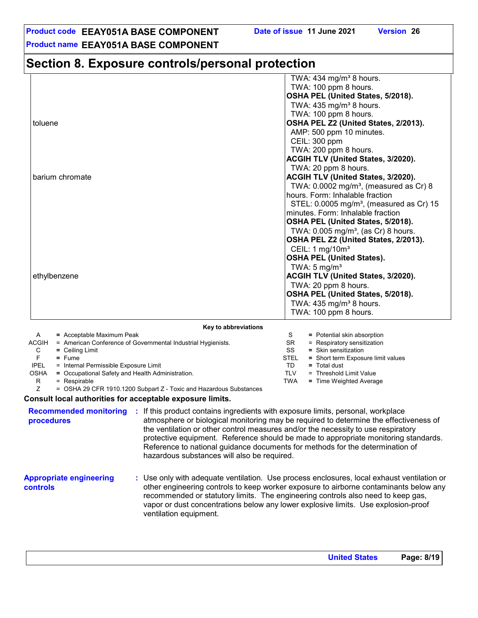# **Section 8. Exposure controls/personal protection**

|                 | TWA: $434$ mg/m <sup>3</sup> 8 hours.                  |
|-----------------|--------------------------------------------------------|
|                 | TWA: 100 ppm 8 hours.                                  |
|                 | OSHA PEL (United States, 5/2018).                      |
|                 | TWA: $435 \text{ mg/m}^3$ 8 hours.                     |
|                 | TWA: 100 ppm 8 hours.                                  |
| toluene         | OSHA PEL Z2 (United States, 2/2013).                   |
|                 | AMP: 500 ppm 10 minutes.                               |
|                 | CEIL: 300 ppm                                          |
|                 | TWA: 200 ppm 8 hours.                                  |
|                 | ACGIH TLV (United States, 3/2020).                     |
|                 | TWA: 20 ppm 8 hours.                                   |
| barium chromate | <b>ACGIH TLV (United States, 3/2020).</b>              |
|                 | TWA: $0.0002$ mg/m <sup>3</sup> , (measured as Cr) 8   |
|                 | hours. Form: Inhalable fraction                        |
|                 | STEL: $0.0005$ mg/m <sup>3</sup> , (measured as Cr) 15 |
|                 | minutes. Form: Inhalable fraction                      |
|                 | OSHA PEL (United States, 5/2018).                      |
|                 | TWA: $0.005$ mg/m <sup>3</sup> , (as Cr) 8 hours.      |
|                 | OSHA PEL Z2 (United States, 2/2013).                   |
|                 | CEIL: 1 mg/10m <sup>3</sup>                            |
|                 | <b>OSHA PEL (United States).</b>                       |
|                 | TWA: $5 \text{ mg/m}^3$                                |
| ethylbenzene    | <b>ACGIH TLV (United States, 3/2020).</b>              |
|                 | TWA: 20 ppm 8 hours.                                   |
|                 | OSHA PEL (United States, 5/2018).                      |
|                 | TWA: $435 \text{ mg/m}^3$ 8 hours.                     |
|                 | TWA: 100 ppm 8 hours.                                  |

#### **Key to abbreviations**

|             | $=$ Acceptable Maximum Peak                                  | = Potential skin absorption                |
|-------------|--------------------------------------------------------------|--------------------------------------------|
| ACGIH       | = American Conference of Governmental Industrial Hygienists. | $=$ Respiratory sensitization<br>SR.       |
| C.          | $=$ Ceiling Limit                                            | $=$ Skin sensitization<br>SS               |
|             | $=$ Fume                                                     | = Short term Exposure limit values<br>STEL |
| <b>IPEL</b> | = Internal Permissible Exposure Limit                        | $=$ Total dust                             |
| OSHA        | = Occupational Safety and Health Administration.             | = Threshold Limit Value<br>TLV             |
|             | $=$ Respirable                                               | = Time Weighted Average<br>TWA             |

Z = OSHA 29 CFR 1910.1200 Subpart Z - Toxic and Hazardous Substances

#### **Consult local authorities for acceptable exposure limits.**

**Recommended monitoring :** If this product contains ingredients with exposure limits, personal, workplace **procedures** atmosphere or biological monitoring may be required to determine the effectiveness of the ventilation or other control measures and/or the necessity to use respiratory protective equipment. Reference should be made to appropriate monitoring standards. Reference to national guidance documents for methods for the determination of hazardous substances will also be required.

**Appropriate engineering controls :** Use only with adequate ventilation. Use process enclosures, local exhaust ventilation or other engineering controls to keep worker exposure to airborne contaminants below any recommended or statutory limits. The engineering controls also need to keep gas, vapor or dust concentrations below any lower explosive limits. Use explosion-proof ventilation equipment.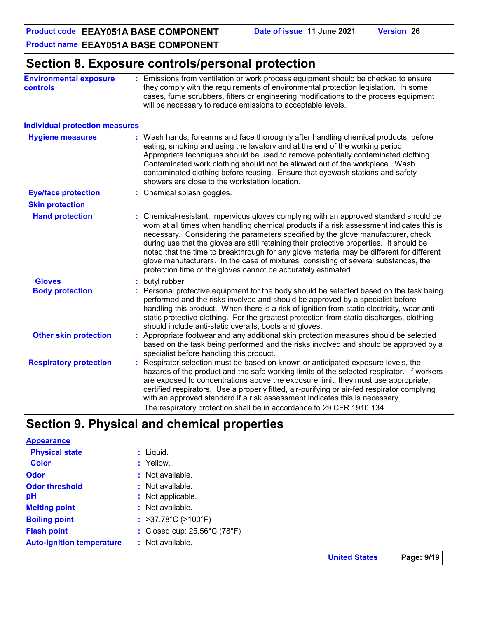# **Section 8. Exposure controls/personal protection**

| <b>Environmental exposure</b><br>controls | : Emissions from ventilation or work process equipment should be checked to ensure<br>they comply with the requirements of environmental protection legislation. In some<br>cases, fume scrubbers, filters or engineering modifications to the process equipment<br>will be necessary to reduce emissions to acceptable levels.                                                                                                                                                                                                                                                                                      |
|-------------------------------------------|----------------------------------------------------------------------------------------------------------------------------------------------------------------------------------------------------------------------------------------------------------------------------------------------------------------------------------------------------------------------------------------------------------------------------------------------------------------------------------------------------------------------------------------------------------------------------------------------------------------------|
| <b>Individual protection measures</b>     |                                                                                                                                                                                                                                                                                                                                                                                                                                                                                                                                                                                                                      |
| <b>Hygiene measures</b>                   | : Wash hands, forearms and face thoroughly after handling chemical products, before<br>eating, smoking and using the lavatory and at the end of the working period.<br>Appropriate techniques should be used to remove potentially contaminated clothing.<br>Contaminated work clothing should not be allowed out of the workplace. Wash<br>contaminated clothing before reusing. Ensure that eyewash stations and safety<br>showers are close to the workstation location.                                                                                                                                          |
| <b>Eye/face protection</b>                | : Chemical splash goggles.                                                                                                                                                                                                                                                                                                                                                                                                                                                                                                                                                                                           |
| <b>Skin protection</b>                    |                                                                                                                                                                                                                                                                                                                                                                                                                                                                                                                                                                                                                      |
| <b>Hand protection</b>                    | Chemical-resistant, impervious gloves complying with an approved standard should be<br>worn at all times when handling chemical products if a risk assessment indicates this is<br>necessary. Considering the parameters specified by the glove manufacturer, check<br>during use that the gloves are still retaining their protective properties. It should be<br>noted that the time to breakthrough for any glove material may be different for different<br>glove manufacturers. In the case of mixtures, consisting of several substances, the<br>protection time of the gloves cannot be accurately estimated. |
| <b>Gloves</b>                             | butyl rubber                                                                                                                                                                                                                                                                                                                                                                                                                                                                                                                                                                                                         |
| <b>Body protection</b>                    | Personal protective equipment for the body should be selected based on the task being<br>performed and the risks involved and should be approved by a specialist before<br>handling this product. When there is a risk of ignition from static electricity, wear anti-<br>static protective clothing. For the greatest protection from static discharges, clothing<br>should include anti-static overalls, boots and gloves.                                                                                                                                                                                         |
| <b>Other skin protection</b>              | : Appropriate footwear and any additional skin protection measures should be selected<br>based on the task being performed and the risks involved and should be approved by a<br>specialist before handling this product.                                                                                                                                                                                                                                                                                                                                                                                            |
| <b>Respiratory protection</b>             | Respirator selection must be based on known or anticipated exposure levels, the<br>hazards of the product and the safe working limits of the selected respirator. If workers<br>are exposed to concentrations above the exposure limit, they must use appropriate,<br>certified respirators. Use a properly fitted, air-purifying or air-fed respirator complying<br>with an approved standard if a risk assessment indicates this is necessary.<br>The respiratory protection shall be in accordance to 29 CFR 1910.134.                                                                                            |

# **Section 9. Physical and chemical properties**

|                                  |                                         | <b>United States</b> | Page: 9/19 |
|----------------------------------|-----------------------------------------|----------------------|------------|
| <b>Auto-ignition temperature</b> | : Not available.                        |                      |            |
| <b>Flash point</b>               | : Closed cup: 25.56°C (78°F)            |                      |            |
| <b>Boiling point</b>             | : $>37.78^{\circ}C$ ( $>100^{\circ}F$ ) |                      |            |
| <b>Melting point</b>             | : Not available.                        |                      |            |
| pH                               | : Not applicable.                       |                      |            |
| <b>Odor threshold</b>            | : Not available.                        |                      |            |
| <b>Odor</b>                      | : Not available.                        |                      |            |
| <b>Color</b>                     | : Yellow.                               |                      |            |
| <b>Physical state</b>            | $:$ Liquid.                             |                      |            |
| <b>Appearance</b>                |                                         |                      |            |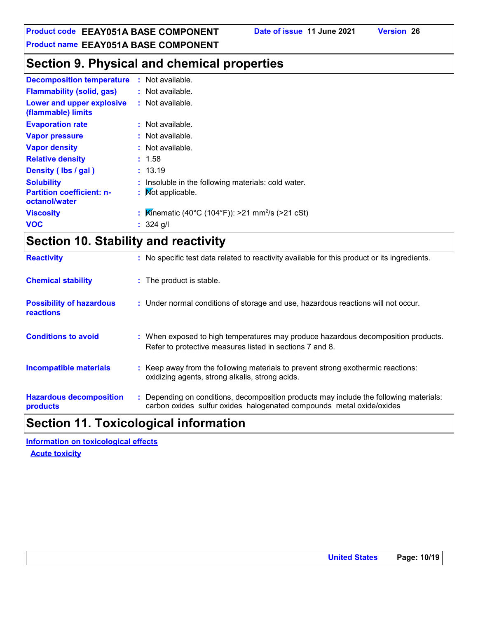# **Section 9. Physical and chemical properties**

| <b>Decomposition temperature</b>                                       | $:$ Not available.                                                       |
|------------------------------------------------------------------------|--------------------------------------------------------------------------|
| <b>Flammability (solid, gas)</b>                                       | $:$ Not available.                                                       |
| Lower and upper explosive<br>(flammable) limits                        | $:$ Not available.                                                       |
| <b>Evaporation rate</b>                                                | $:$ Not available.                                                       |
| <b>Vapor pressure</b>                                                  | $:$ Not available.                                                       |
| <b>Vapor density</b>                                                   | $\therefore$ Not available.                                              |
| <b>Relative density</b>                                                | : 1.58                                                                   |
| Density (Ibs / gal)                                                    | : 13.19                                                                  |
| <b>Solubility</b><br><b>Partition coefficient: n-</b><br>octanol/water | : Insoluble in the following materials: cold water.<br>: Mot applicable. |
| <b>Viscosity</b>                                                       | : Kinematic (40°C (104°F)): >21 mm <sup>2</sup> /s (>21 cSt)             |
| <b>VOC</b>                                                             | : $324$ g/l                                                              |

# **Section 10. Stability and reactivity**

|                                                     | oxidizing agents, strong alkalis, strong acids.                                                                                               |
|-----------------------------------------------------|-----------------------------------------------------------------------------------------------------------------------------------------------|
| <b>Incompatible materials</b>                       | : Keep away from the following materials to prevent strong exothermic reactions:                                                              |
| <b>Conditions to avoid</b>                          | : When exposed to high temperatures may produce hazardous decomposition products.<br>Refer to protective measures listed in sections 7 and 8. |
| <b>Possibility of hazardous</b><br><b>reactions</b> | : Under normal conditions of storage and use, hazardous reactions will not occur.                                                             |
| <b>Chemical stability</b>                           | : The product is stable.                                                                                                                      |
| <b>Reactivity</b>                                   | : No specific test data related to reactivity available for this product or its ingredients.                                                  |

# **Section 11. Toxicological information**

**Acute toxicity Information on toxicological effects**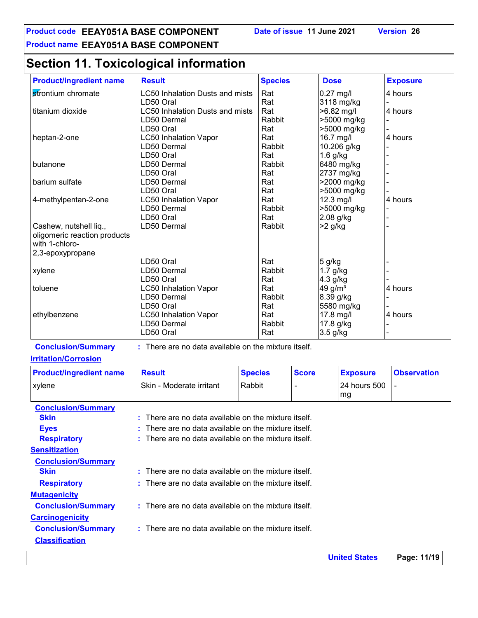# **Section 11. Toxicological information**

| <b>Product/ingredient name</b>                 | <b>Result</b>                          | <b>Species</b> | <b>Dose</b>         | <b>Exposure</b> |
|------------------------------------------------|----------------------------------------|----------------|---------------------|-----------------|
| strontium chromate                             | <b>LC50 Inhalation Dusts and mists</b> | Rat            | 0.27 mg/l           | 4 hours         |
|                                                | LD50 Oral                              | Rat            | 3118 mg/kg          |                 |
| titanium dioxide                               | <b>LC50 Inhalation Dusts and mists</b> | Rat            | >6.82 mg/l          | 4 hours         |
|                                                | LD50 Dermal                            | Rabbit         | >5000 mg/kg         |                 |
|                                                | LD50 Oral                              | Rat            | >5000 mg/kg         |                 |
| heptan-2-one                                   | <b>LC50 Inhalation Vapor</b>           | Rat            | 16.7 mg/l           | 4 hours         |
|                                                | LD50 Dermal                            | Rabbit         | 10.206 g/kg         |                 |
|                                                | LD50 Oral                              | Rat            | $1.6$ g/kg          |                 |
| butanone                                       | LD50 Dermal                            | Rabbit         | 6480 mg/kg          |                 |
|                                                | LD50 Oral                              | Rat            | 2737 mg/kg          |                 |
| barium sulfate                                 | LD50 Dermal                            | Rat            | >2000 mg/kg         |                 |
|                                                | LD50 Oral                              | Rat            | >5000 mg/kg         |                 |
| 4-methylpentan-2-one                           | <b>LC50 Inhalation Vapor</b>           | Rat            | 12.3 mg/l           | 4 hours         |
|                                                | LD50 Dermal                            | Rabbit         | >5000 mg/kg         |                 |
|                                                | LD50 Oral                              | Rat            | $2.08$ g/kg         |                 |
| Cashew, nutshell liq.,                         | LD50 Dermal                            | Rabbit         | $>2$ g/kg           |                 |
| oligomeric reaction products<br>with 1-chloro- |                                        |                |                     |                 |
| 2,3-epoxypropane                               |                                        |                |                     |                 |
|                                                | LD50 Oral                              | Rat            | 5 g/kg              |                 |
| xylene                                         | LD50 Dermal                            | Rabbit         | $1.7$ g/kg          |                 |
|                                                | LD50 Oral                              | Rat            | 4.3 g/kg            |                 |
| toluene                                        | <b>LC50 Inhalation Vapor</b>           | Rat            | 49 g/m <sup>3</sup> | 4 hours         |
|                                                | LD50 Dermal                            | Rabbit         | 8.39 g/kg           |                 |
|                                                | LD50 Oral                              | Rat            | 5580 mg/kg          |                 |
| ethylbenzene                                   | <b>LC50 Inhalation Vapor</b>           | Rat            | $17.8$ mg/l         | 4 hours         |
|                                                | LD50 Dermal                            | Rabbit         | 17.8 g/kg           |                 |
|                                                | LD50 Oral                              | Rat            | $3.5$ g/kg          |                 |
|                                                |                                        |                |                     |                 |

**Conclusion/Summary :**

: There are no data available on the mixture itself.

#### **Irritation/Corrosion**

| <b>Product/ingredient name</b> | Result                   | <b>Species</b> | <b>Score</b> | <u>l Exposure</u> | <b>Observation</b> |
|--------------------------------|--------------------------|----------------|--------------|-------------------|--------------------|
| <b>xvlene</b>                  | Skin - Moderate irritant | Rabbit         |              | 124 hours 500     |                    |
|                                |                          |                |              | l mg              |                    |

| $\pm$ There are no data available on the mixture itself. |
|----------------------------------------------------------|
| $:$ There are no data available on the mixture itself.   |
| $:$ There are no data available on the mixture itself.   |
|                                                          |
|                                                          |
| $\pm$ There are no data available on the mixture itself. |
| : There are no data available on the mixture itself.     |
|                                                          |
| $:$ There are no data available on the mixture itself.   |
|                                                          |
| $:$ There are no data available on the mixture itself.   |
|                                                          |
|                                                          |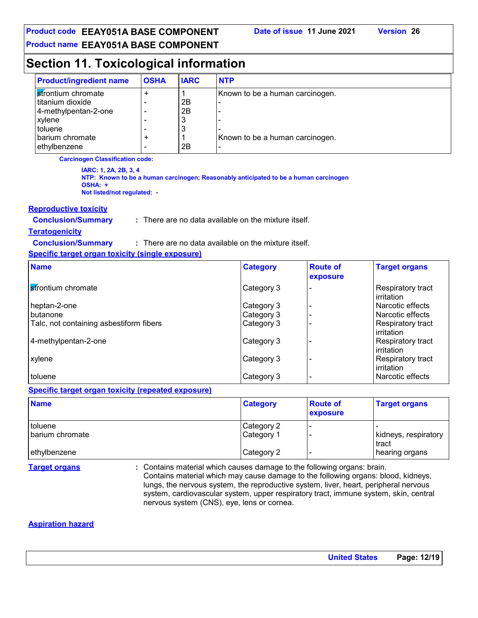# **Section 11. Toxicological information**

| <b>Product/ingredient name</b> | <b>OSHA</b> | <b>IARC</b> | <b>NTP</b>                      |
|--------------------------------|-------------|-------------|---------------------------------|
| <b>s</b> trontium chromate     |             |             | Known to be a human carcinogen. |
| titanium dioxide               |             | 2B          |                                 |
| 4-methylpentan-2-one           |             | 2B          |                                 |
| xylene                         |             |             |                                 |
| l toluene                      |             | J           |                                 |
| l barium chromate              |             |             | Known to be a human carcinogen. |
| ethylbenzene                   |             | 2B          |                                 |

**Carcinogen Classification code:**

**IARC: 1, 2A, 2B, 3, 4**

**NTP: Known to be a human carcinogen; Reasonably anticipated to be a human carcinogen OSHA: + Not listed/not regulated: -**

#### **Reproductive toxicity**

**Conclusion/Summary :** There are no data available on the mixture itself.

#### **Teratogenicity**

**Conclusion/Summary :** There are no data available on the mixture itself.

**Specific target organ toxicity (single exposure)**

| <b>Name</b>                             | <b>Category</b> | <b>Route of</b><br>exposure | <b>Target organs</b>            |
|-----------------------------------------|-----------------|-----------------------------|---------------------------------|
| strontium chromate                      | Category 3      |                             | Respiratory tract<br>irritation |
| heptan-2-one                            | Category 3      |                             | Narcotic effects                |
| butanone                                | Category 3      |                             | Narcotic effects                |
| Talc, not containing asbestiform fibers | Category 3      |                             | Respiratory tract<br>irritation |
| 4-methylpentan-2-one                    | Category 3      |                             | Respiratory tract<br>irritation |
| xylene                                  | Category 3      |                             | Respiratory tract<br>irritation |
| toluene                                 | Category 3      |                             | Narcotic effects                |

#### **Specific target organ toxicity (repeated exposure)**

| <b>Name</b>                 | <b>Category</b>          | <b>Route of</b><br><b>exposure</b> | <b>Target organs</b>    |
|-----------------------------|--------------------------|------------------------------------|-------------------------|
| Itoluene<br>barium chromate | Category 2<br>Category 1 |                                    | kidneys, respiratory    |
| ethylbenzene                | Category 2               |                                    | tract<br>hearing organs |

**Target organs :** Contains material which causes damage to the following organs: brain. Contains material which may cause damage to the following organs: blood, kidneys, lungs, the nervous system, the reproductive system, liver, heart, peripheral nervous system, cardiovascular system, upper respiratory tract, immune system, skin, central nervous system (CNS), eye, lens or cornea.

#### **Aspiration hazard**

| <b>United States</b> | Page: 12/19 |
|----------------------|-------------|
|                      |             |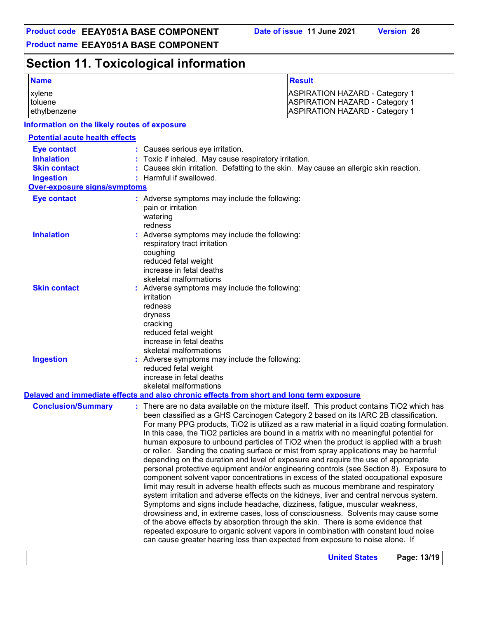# **Section 11. Toxicological information**

| <b>Name</b>   | Result                                |
|---------------|---------------------------------------|
| <b>xylene</b> | <b>ASPIRATION HAZARD - Category 1</b> |
| toluene       | <b>ASPIRATION HAZARD - Category 1</b> |
| lethvlbenzene | <b>ASPIRATION HAZARD - Category 1</b> |

#### **Information on the likely routes of exposure**

| <b>Potential acute health effects</b> |                                                                                                                                                                               |
|---------------------------------------|-------------------------------------------------------------------------------------------------------------------------------------------------------------------------------|
| <b>Eye contact</b>                    | : Causes serious eye irritation.                                                                                                                                              |
| <b>Inhalation</b>                     | Toxic if inhaled. May cause respiratory irritation.                                                                                                                           |
| <b>Skin contact</b>                   | Causes skin irritation. Defatting to the skin. May cause an allergic skin reaction.                                                                                           |
| <b>Ingestion</b>                      | : Harmful if swallowed.                                                                                                                                                       |
| <b>Over-exposure signs/symptoms</b>   |                                                                                                                                                                               |
| <b>Eye contact</b>                    | : Adverse symptoms may include the following:                                                                                                                                 |
|                                       | pain or irritation                                                                                                                                                            |
|                                       | watering                                                                                                                                                                      |
|                                       | redness                                                                                                                                                                       |
| <b>Inhalation</b>                     | : Adverse symptoms may include the following:                                                                                                                                 |
|                                       | respiratory tract irritation                                                                                                                                                  |
|                                       | coughing                                                                                                                                                                      |
|                                       | reduced fetal weight                                                                                                                                                          |
|                                       | increase in fetal deaths                                                                                                                                                      |
|                                       | skeletal malformations                                                                                                                                                        |
| <b>Skin contact</b>                   | : Adverse symptoms may include the following:<br>irritation                                                                                                                   |
|                                       | redness                                                                                                                                                                       |
|                                       | dryness                                                                                                                                                                       |
|                                       | cracking                                                                                                                                                                      |
|                                       | reduced fetal weight                                                                                                                                                          |
|                                       | increase in fetal deaths                                                                                                                                                      |
|                                       | skeletal malformations                                                                                                                                                        |
| <b>Ingestion</b>                      | : Adverse symptoms may include the following:                                                                                                                                 |
|                                       | reduced fetal weight                                                                                                                                                          |
|                                       | increase in fetal deaths                                                                                                                                                      |
|                                       | skeletal malformations                                                                                                                                                        |
|                                       | Delayed and immediate effects and also chronic effects from short and long term exposure                                                                                      |
| <b>Conclusion/Summary</b>             | : There are no data available on the mixture itself. This product contains TiO2 which has                                                                                     |
|                                       | been classified as a GHS Carcinogen Category 2 based on its IARC 2B classification.                                                                                           |
|                                       | For many PPG products, TiO2 is utilized as a raw material in a liquid coating formulation.                                                                                    |
|                                       | In this case, the TiO2 particles are bound in a matrix with no meaningful potential for                                                                                       |
|                                       | human exposure to unbound particles of TiO2 when the product is applied with a brush                                                                                          |
|                                       | or roller. Sanding the coating surface or mist from spray applications may be harmful                                                                                         |
|                                       | depending on the duration and level of exposure and require the use of appropriate                                                                                            |
|                                       | personal protective equipment and/or engineering controls (see Section 8). Exposure to                                                                                        |
|                                       | component solvent vapor concentrations in excess of the stated occupational exposure                                                                                          |
|                                       | limit may result in adverse health effects such as mucous membrane and respiratory<br>system irritation and adverse effects on the kidneys, liver and central nervous system. |
|                                       | Symptoms and signs include headache, dizziness, fatigue, muscular weakness,                                                                                                   |
|                                       | drowsiness and, in extreme cases, loss of consciousness. Solvents may cause some                                                                                              |
|                                       | of the above effects by absorption through the skin. There is some evidence that                                                                                              |
|                                       | repeated exposure to organic solvent vapors in combination with constant loud noise                                                                                           |
|                                       | can cause greater hearing loss than expected from exposure to noise alone. If                                                                                                 |
|                                       |                                                                                                                                                                               |
|                                       | Page: 13/19<br><b>United States</b>                                                                                                                                           |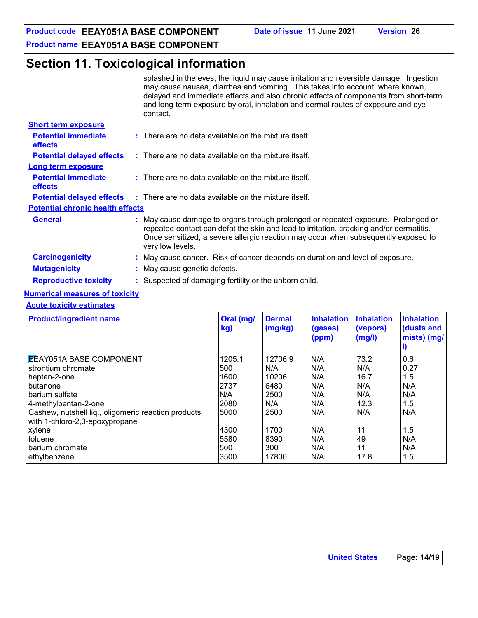# **Product code EEAY051A BASE COMPONENT Date of issue 11 June 2021 Version 26**

**Product name EEAY051A BASE COMPONENT**

# **Section 11. Toxicological information**

|                                              | splashed in the eyes, the liquid may cause irritation and reversible damage. Ingestion<br>may cause nausea, diarrhea and vomiting. This takes into account, where known,<br>delayed and immediate effects and also chronic effects of components from short-term<br>and long-term exposure by oral, inhalation and dermal routes of exposure and eye<br>contact. |
|----------------------------------------------|------------------------------------------------------------------------------------------------------------------------------------------------------------------------------------------------------------------------------------------------------------------------------------------------------------------------------------------------------------------|
| <b>Short term exposure</b>                   |                                                                                                                                                                                                                                                                                                                                                                  |
| <b>Potential immediate</b><br><b>effects</b> | $:$ There are no data available on the mixture itself.                                                                                                                                                                                                                                                                                                           |
| <b>Potential delayed effects</b>             | $\therefore$ There are no data available on the mixture itself.                                                                                                                                                                                                                                                                                                  |
| <b>Long term exposure</b>                    |                                                                                                                                                                                                                                                                                                                                                                  |
| <b>Potential immediate</b><br><b>effects</b> | $:$ There are no data available on the mixture itself.                                                                                                                                                                                                                                                                                                           |
|                                              | <b>Potential delayed effects</b> : There are no data available on the mixture itself.                                                                                                                                                                                                                                                                            |
| <b>Potential chronic health effects</b>      |                                                                                                                                                                                                                                                                                                                                                                  |
| <b>General</b>                               | : May cause damage to organs through prolonged or repeated exposure. Prolonged or<br>repeated contact can defat the skin and lead to irritation, cracking and/or dermatitis.<br>Once sensitized, a severe allergic reaction may occur when subsequently exposed to<br>very low levels.                                                                           |
| <b>Carcinogenicity</b>                       | : May cause cancer. Risk of cancer depends on duration and level of exposure.                                                                                                                                                                                                                                                                                    |
| <b>Mutagenicity</b>                          | : May cause genetic defects.                                                                                                                                                                                                                                                                                                                                     |
| <b>Reproductive toxicity</b>                 | : Suspected of damaging fertility or the unborn child.                                                                                                                                                                                                                                                                                                           |

#### **Numerical measures of toxicity**

#### **Acute toxicity estimates**

| <b>Product/ingredient name</b>                                                        | Oral (mg/<br>kg) | <b>Dermal</b><br>(mg/kg) | <b>Inhalation</b><br>(gases)<br>(ppm) | <b>Inhalation</b><br>(vapors)<br>(mg/l) | <b>Inhalation</b><br>(dusts and<br>mists) (mg/ |
|---------------------------------------------------------------------------------------|------------------|--------------------------|---------------------------------------|-----------------------------------------|------------------------------------------------|
| <b>EEAY051A BASE COMPONENT</b>                                                        | 1205.1           | 12706.9                  | N/A                                   | 73.2                                    | 0.6                                            |
| strontium chromate                                                                    | 500              | N/A                      | N/A                                   | N/A                                     | 0.27                                           |
| heptan-2-one                                                                          | 1600             | 10206                    | N/A                                   | 16.7                                    | 1.5                                            |
| butanone                                                                              | 2737             | 6480                     | N/A                                   | N/A                                     | N/A                                            |
| barium sulfate                                                                        | N/A              | 2500                     | N/A                                   | N/A                                     | N/A                                            |
| 4-methylpentan-2-one                                                                  | 2080             | N/A                      | N/A                                   | 12.3                                    | 1.5                                            |
| Cashew, nutshell liq., oligomeric reaction products<br>with 1-chloro-2,3-epoxypropane | 5000             | 2500                     | N/A                                   | N/A                                     | N/A                                            |
| xylene                                                                                | 4300             | 1700                     | N/A                                   | 11                                      | 1.5                                            |
| toluene                                                                               | 5580             | 8390                     | N/A                                   | 49                                      | N/A                                            |
| barium chromate                                                                       | 500              | 300                      | N/A                                   | 11                                      | N/A                                            |
| ethylbenzene                                                                          | 3500             | 17800                    | N/A                                   | 17.8                                    | 1.5                                            |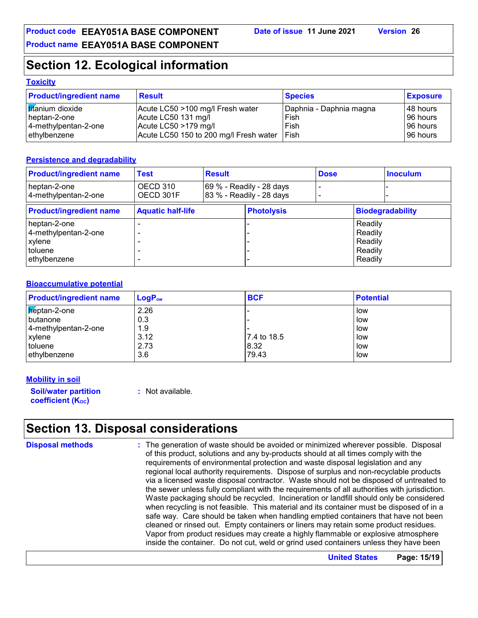# **Section 12. Ecological information**

#### **Toxicity**

| <b>Product/ingredient name</b> | <b>Result</b>                          | <b>Species</b>          | <b>Exposure</b> |
|--------------------------------|----------------------------------------|-------------------------|-----------------|
| titanium dioxide               | Acute LC50 >100 mg/l Fresh water       | Daphnia - Daphnia magna | l 48 hours l    |
| heptan-2-one                   | Acute LC50 131 mg/l                    | Fish                    | 96 hours        |
| 4-methylpentan-2-one           | $ $ Acute LC50 >179 mg/l               | Fish                    | l 96 hours l    |
| ethylbenzene                   | Acute LC50 150 to 200 mg/l Fresh water | Fish                    | l 96 hours l    |

#### **Persistence and degradability**

| <b>Product/ingredient name</b>                                            | <b>Test</b>              | <b>Result</b> |                                                      | <b>Dose</b> |                                                     | <b>Inoculum</b>         |
|---------------------------------------------------------------------------|--------------------------|---------------|------------------------------------------------------|-------------|-----------------------------------------------------|-------------------------|
| heptan-2-one<br>4-methylpentan-2-one                                      | OECD 310<br>OECD 301F    |               | 69 % - Readily - 28 days<br>83 % - Readily - 28 days |             |                                                     |                         |
| <b>Product/ingredient name</b>                                            | <b>Aquatic half-life</b> |               | <b>Photolysis</b>                                    |             |                                                     | <b>Biodegradability</b> |
| heptan-2-one<br>4-methylpentan-2-one<br>xylene<br>toluene<br>ethylbenzene |                          |               | -<br>$\overline{\phantom{0}}$<br>-                   |             | Readily<br>Readily<br>Readily<br>Readily<br>Readily |                         |

#### **Bioaccumulative potential**

| <b>Product/ingredient name</b> | $LogP_{ow}$ | <b>BCF</b>   | <b>Potential</b> |
|--------------------------------|-------------|--------------|------------------|
| Reptan-2-one                   | 2.26        |              | low              |
| <b>butanone</b>                | 0.3         |              | low              |
| 4-methylpentan-2-one           | 1.9         |              | low              |
| xylene                         | 3.12        | 17.4 to 18.5 | low              |
| I toluene                      | 2.73        | 8.32         | low              |
| ethylbenzene                   | 3.6         | 79.43        | low              |

#### **Mobility in soil**

**Soil/water partition coefficient (Koc)** 

**:** Not available.

# **Section 13. Disposal considerations**

**Disposal methods :**

The generation of waste should be avoided or minimized wherever possible. Disposal of this product, solutions and any by-products should at all times comply with the requirements of environmental protection and waste disposal legislation and any regional local authority requirements. Dispose of surplus and non-recyclable products via a licensed waste disposal contractor. Waste should not be disposed of untreated to the sewer unless fully compliant with the requirements of all authorities with jurisdiction. Waste packaging should be recycled. Incineration or landfill should only be considered when recycling is not feasible. This material and its container must be disposed of in a safe way. Care should be taken when handling emptied containers that have not been cleaned or rinsed out. Empty containers or liners may retain some product residues. Vapor from product residues may create a highly flammable or explosive atmosphere inside the container. Do not cut, weld or grind used containers unless they have been

**United States Page: 15/19**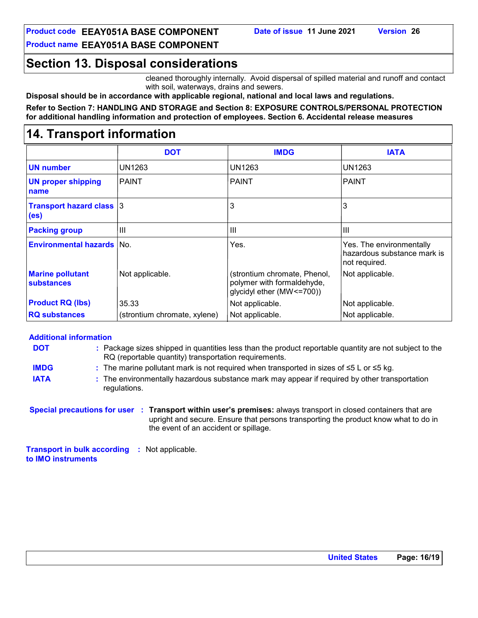# **Product code EEAY051A BASE COMPONENT Date of issue 11 June 2021 Version 26**

**Product name EEAY051A BASE COMPONENT**

# **Section 13. Disposal considerations**

cleaned thoroughly internally. Avoid dispersal of spilled material and runoff and contact with soil, waterways, drains and sewers.

**Disposal should be in accordance with applicable regional, national and local laws and regulations.**

#### **Refer to Section 7: HANDLING AND STORAGE and Section 8: EXPOSURE CONTROLS/PERSONAL PROTECTION for additional handling information and protection of employees. Section 6. Accidental release measures**

# **14. Transport information**

|                                                      | <b>DOT</b>                   | <b>IMDG</b>                                                                               | <b>IATA</b>                                                              |
|------------------------------------------------------|------------------------------|-------------------------------------------------------------------------------------------|--------------------------------------------------------------------------|
| <b>UN number</b>                                     | UN1263                       | <b>UN1263</b>                                                                             | <b>UN1263</b>                                                            |
| <b>UN proper shipping</b><br>name                    | <b>PAINT</b>                 | <b>PAINT</b>                                                                              | IPAINT                                                                   |
| <b>Transport hazard class 3</b><br>(e <sub>s</sub> ) |                              | 3                                                                                         | 3                                                                        |
| <b>Packing group</b>                                 | Ш                            | $\mathbf{III}$                                                                            | III                                                                      |
| <b>Environmental hazards No.</b>                     |                              | Yes.                                                                                      | Yes. The environmentally<br>hazardous substance mark is<br>not required. |
| <b>Marine pollutant</b><br><b>substances</b>         | Not applicable.              | (strontium chromate, Phenol,<br>polymer with formaldehyde,<br>glycidyl ether (MW <= 700)) | Not applicable.                                                          |
| <b>Product RQ (lbs)</b>                              | 35.33                        | Not applicable.                                                                           | Not applicable.                                                          |
| <b>RQ substances</b>                                 | (strontium chromate, xylene) | Not applicable.                                                                           | Not applicable.                                                          |

#### **Special precautions for user Transport within user's premises:** always transport in closed containers that are **:** upright and secure. Ensure that persons transporting the product know what to do in the event of an accident or spillage. **Additional information** Package sizes shipped in quantities less than the product reportable quantity are not subject to the **:** RQ (reportable quantity) transportation requirements. The marine pollutant mark is not required when transported in sizes of ≤5 L or ≤5 kg. **: DOT IMDG IATA :** The environmentally hazardous substance mark may appear if required by other transportation regulations.

**Transport in bulk according :** Not applicable. **to IMO instruments**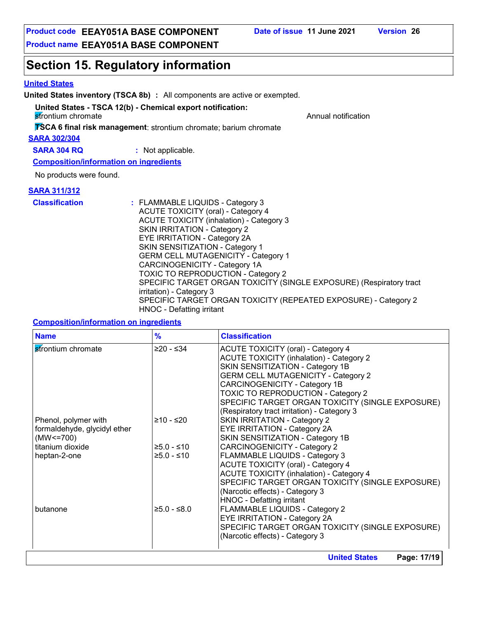#### **United States**

**United States inventory (TSCA 8b) :** All components are active or exempted.

#### **United States - TSCA 12(b) - Chemical export notification:**

strontium chromate Annual notification and the Annual notification and the Annual notification

**TSCA 6 final risk management**: strontium chromate; barium chromate

#### **SARA 302/304**

**SARA 304 RQ :** Not applicable.

**Composition/information on ingredients**

No products were found.

#### **SARA 311/312**

**Classification :** FLAMMABLE LIQUIDS - Category 3 ACUTE TOXICITY (oral) - Category 4 ACUTE TOXICITY (inhalation) - Category 3 SKIN IRRITATION - Category 2 EYE IRRITATION - Category 2A SKIN SENSITIZATION - Category 1 GERM CELL MUTAGENICITY - Category 1 CARCINOGENICITY - Category 1A TOXIC TO REPRODUCTION - Category 2 SPECIFIC TARGET ORGAN TOXICITY (SINGLE EXPOSURE) (Respiratory tract irritation) - Category 3 SPECIFIC TARGET ORGAN TOXICITY (REPEATED EXPOSURE) - Category 2 HNOC - Defatting irritant

#### **Composition/information on ingredients**

| <b>Name</b>                                                            | $\frac{9}{6}$                | <b>Classification</b>                                                                                                                                                                                                                                                                                                                                    |
|------------------------------------------------------------------------|------------------------------|----------------------------------------------------------------------------------------------------------------------------------------------------------------------------------------------------------------------------------------------------------------------------------------------------------------------------------------------------------|
| strontium chromate                                                     | $≥20 - ≤34$                  | <b>ACUTE TOXICITY (oral) - Category 4</b><br><b>ACUTE TOXICITY (inhalation) - Category 2</b><br>SKIN SENSITIZATION - Category 1B<br><b>GERM CELL MUTAGENICITY - Category 2</b><br>CARCINOGENICITY - Category 1B<br>TOXIC TO REPRODUCTION - Category 2<br>SPECIFIC TARGET ORGAN TOXICITY (SINGLE EXPOSURE)<br>(Respiratory tract irritation) - Category 3 |
| Phenol, polymer with<br>formaldehyde, glycidyl ether<br>$(MW < = 700)$ | ≥10 - ≤20                    | <b>SKIN IRRITATION - Category 2</b><br>EYE IRRITATION - Category 2A<br>SKIN SENSITIZATION - Category 1B                                                                                                                                                                                                                                                  |
| titanium dioxide<br>heptan-2-one                                       | $≥5.0 - ≤10$<br>$≥5.0 - ≤10$ | <b>CARCINOGENICITY - Category 2</b><br>FLAMMABLE LIQUIDS - Category 3<br><b>ACUTE TOXICITY (oral) - Category 4</b><br><b>ACUTE TOXICITY (inhalation) - Category 4</b><br>SPECIFIC TARGET ORGAN TOXICITY (SINGLE EXPOSURE)<br>(Narcotic effects) - Category 3<br>HNOC - Defatting irritant                                                                |
| butanone                                                               | $≥5.0 - ≤8.0$                | FLAMMABLE LIQUIDS - Category 2<br>EYE IRRITATION - Category 2A<br>SPECIFIC TARGET ORGAN TOXICITY (SINGLE EXPOSURE)<br>(Narcotic effects) - Category 3                                                                                                                                                                                                    |
|                                                                        |                              | Page: 17/19<br><b>United States</b>                                                                                                                                                                                                                                                                                                                      |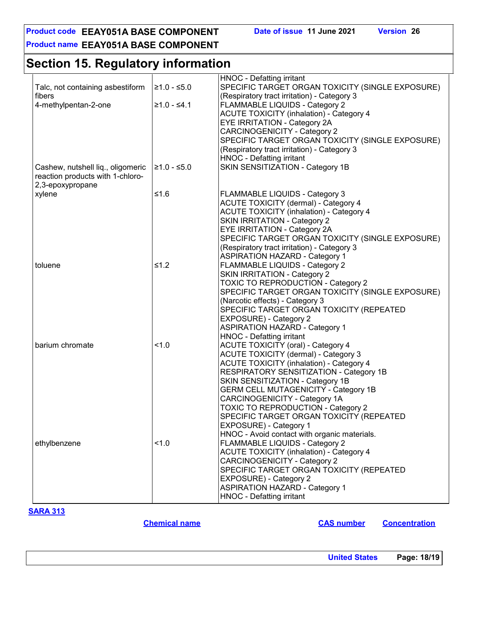# **Product code EEAY051A BASE COMPONENT Date of issue 11 June 2021 Version 26**

**Product name EEAY051A BASE COMPONENT**

# **Section 15. Regulatory information**

|                                   |               | HNOC - Defatting irritant                        |
|-----------------------------------|---------------|--------------------------------------------------|
| Talc, not containing asbestiform  | $≥1.0 - ≤5.0$ | SPECIFIC TARGET ORGAN TOXICITY (SINGLE EXPOSURE) |
| fibers                            |               | (Respiratory tract irritation) - Category 3      |
| 4-methylpentan-2-one              | $≥1.0 - ≤4.1$ | FLAMMABLE LIQUIDS - Category 2                   |
|                                   |               | <b>ACUTE TOXICITY (inhalation) - Category 4</b>  |
|                                   |               | EYE IRRITATION - Category 2A                     |
|                                   |               | <b>CARCINOGENICITY - Category 2</b>              |
|                                   |               | SPECIFIC TARGET ORGAN TOXICITY (SINGLE EXPOSURE) |
|                                   |               | (Respiratory tract irritation) - Category 3      |
|                                   |               | HNOC - Defatting irritant                        |
| Cashew, nutshell liq., oligomeric | $≥1.0 - ≤5.0$ | SKIN SENSITIZATION - Category 1B                 |
| reaction products with 1-chloro-  |               |                                                  |
| 2,3-epoxypropane                  |               |                                                  |
| xylene                            | ≤1.6          | <b>FLAMMABLE LIQUIDS - Category 3</b>            |
|                                   |               | <b>ACUTE TOXICITY (dermal) - Category 4</b>      |
|                                   |               | <b>ACUTE TOXICITY (inhalation) - Category 4</b>  |
|                                   |               | <b>SKIN IRRITATION - Category 2</b>              |
|                                   |               | <b>EYE IRRITATION - Category 2A</b>              |
|                                   |               | SPECIFIC TARGET ORGAN TOXICITY (SINGLE EXPOSURE) |
|                                   |               | (Respiratory tract irritation) - Category 3      |
|                                   |               | <b>ASPIRATION HAZARD - Category 1</b>            |
| toluene                           | $≤1.2$        | FLAMMABLE LIQUIDS - Category 2                   |
|                                   |               | <b>SKIN IRRITATION - Category 2</b>              |
|                                   |               | TOXIC TO REPRODUCTION - Category 2               |
|                                   |               | SPECIFIC TARGET ORGAN TOXICITY (SINGLE EXPOSURE) |
|                                   |               | (Narcotic effects) - Category 3                  |
|                                   |               | SPECIFIC TARGET ORGAN TOXICITY (REPEATED         |
|                                   |               | EXPOSURE) - Category 2                           |
|                                   |               | <b>ASPIRATION HAZARD - Category 1</b>            |
|                                   |               | HNOC - Defatting irritant                        |
| barium chromate                   | 1.0           | <b>ACUTE TOXICITY (oral) - Category 4</b>        |
|                                   |               | <b>ACUTE TOXICITY (dermal) - Category 3</b>      |
|                                   |               | <b>ACUTE TOXICITY (inhalation) - Category 4</b>  |
|                                   |               |                                                  |
|                                   |               | RESPIRATORY SENSITIZATION - Category 1B          |
|                                   |               | SKIN SENSITIZATION - Category 1B                 |
|                                   |               | <b>GERM CELL MUTAGENICITY - Category 1B</b>      |
|                                   |               | CARCINOGENICITY - Category 1A                    |
|                                   |               | TOXIC TO REPRODUCTION - Category 2               |
|                                   |               | SPECIFIC TARGET ORGAN TOXICITY (REPEATED         |
|                                   |               | EXPOSURE) - Category 1                           |
|                                   |               | HNOC - Avoid contact with organic materials.     |
| ethylbenzene                      | 1.0           | FLAMMABLE LIQUIDS - Category 2                   |
|                                   |               | <b>ACUTE TOXICITY (inhalation) - Category 4</b>  |
|                                   |               | CARCINOGENICITY - Category 2                     |
|                                   |               | SPECIFIC TARGET ORGAN TOXICITY (REPEATED         |
|                                   |               | EXPOSURE) - Category 2                           |
|                                   |               | <b>ASPIRATION HAZARD - Category 1</b>            |
|                                   |               | HNOC - Defatting irritant                        |
|                                   |               |                                                  |

**SARA 313**

**Chemical name CAS number Concentration**

**United States Page: 18/19**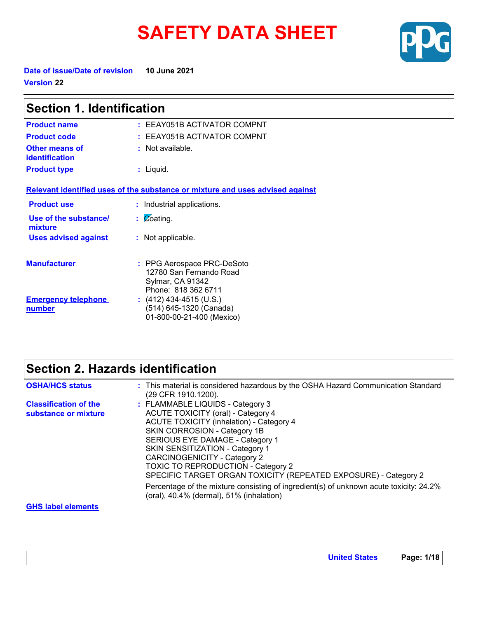# **SAFETY DATA SHEET**



**Date of issue/Date of revision 10 June 2021 Version 22**

| <b>Section 1. Identification</b>     |                                                                                                  |
|--------------------------------------|--------------------------------------------------------------------------------------------------|
| <b>Product name</b>                  | $: EEAY051B$ ACTIVATOR COMPNT                                                                    |
| <b>Product code</b>                  | : EEAY051B ACTIVATOR COMPNT                                                                      |
| Other means of<br>identification     | $:$ Not available.                                                                               |
| <b>Product type</b>                  | $:$ Liquid.                                                                                      |
|                                      | Relevant identified uses of the substance or mixture and uses advised against                    |
| <b>Product use</b>                   | : Industrial applications.                                                                       |
| Use of the substance/<br>mixture     | $\mathcal{L}$ $\mathcal{O}$ cating.                                                              |
| <b>Uses advised against</b>          | : Not applicable.                                                                                |
| <b>Manufacturer</b>                  | : PPG Aerospace PRC-DeSoto<br>12780 San Fernando Road<br>Sylmar, CA 91342<br>Phone: 818 362 6711 |
| <b>Emergency telephone</b><br>number | $(412)$ 434-4515 (U.S.)<br>(514) 645-1320 (Canada)<br>01-800-00-21-400 (Mexico)                  |

# **Section 2. Hazards identification**

| <b>OSHA/HCS status</b>                               | : This material is considered hazardous by the OSHA Hazard Communication Standard<br>(29 CFR 1910.1200).                                                                                                                                                                                                                                                                                                                                                                                                                     |
|------------------------------------------------------|------------------------------------------------------------------------------------------------------------------------------------------------------------------------------------------------------------------------------------------------------------------------------------------------------------------------------------------------------------------------------------------------------------------------------------------------------------------------------------------------------------------------------|
| <b>Classification of the</b><br>substance or mixture | : FLAMMABLE LIQUIDS - Category 3<br><b>ACUTE TOXICITY (oral) - Category 4</b><br><b>ACUTE TOXICITY (inhalation) - Category 4</b><br>SKIN CORROSION - Category 1B<br>SERIOUS EYE DAMAGE - Category 1<br>SKIN SENSITIZATION - Category 1<br>CARCINOGENICITY - Category 2<br><b>TOXIC TO REPRODUCTION - Category 2</b><br>SPECIFIC TARGET ORGAN TOXICITY (REPEATED EXPOSURE) - Category 2<br>Percentage of the mixture consisting of ingredient(s) of unknown acute toxicity: 24.2%<br>(oral), 40.4% (dermal), 51% (inhalation) |
|                                                      |                                                                                                                                                                                                                                                                                                                                                                                                                                                                                                                              |

#### **GHS label elements**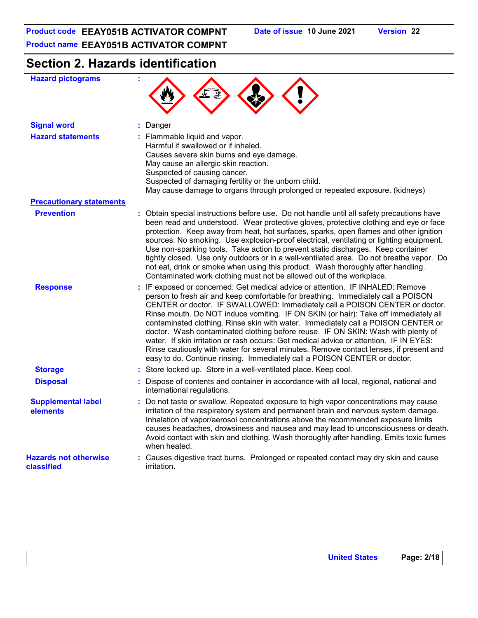# **Section 2. Hazards identification**

| <b>Hazard pictograms</b>                   |                                                                                                                                                                                                                                                                                                                                                                                                                                                                                                                                                                                                                                                                                                                                                                                     |
|--------------------------------------------|-------------------------------------------------------------------------------------------------------------------------------------------------------------------------------------------------------------------------------------------------------------------------------------------------------------------------------------------------------------------------------------------------------------------------------------------------------------------------------------------------------------------------------------------------------------------------------------------------------------------------------------------------------------------------------------------------------------------------------------------------------------------------------------|
| <b>Signal word</b>                         | : Danger                                                                                                                                                                                                                                                                                                                                                                                                                                                                                                                                                                                                                                                                                                                                                                            |
| <b>Hazard statements</b>                   | : Flammable liquid and vapor.<br>Harmful if swallowed or if inhaled.<br>Causes severe skin burns and eye damage.<br>May cause an allergic skin reaction.<br>Suspected of causing cancer.<br>Suspected of damaging fertility or the unborn child.<br>May cause damage to organs through prolonged or repeated exposure. (kidneys)                                                                                                                                                                                                                                                                                                                                                                                                                                                    |
| <b>Precautionary statements</b>            |                                                                                                                                                                                                                                                                                                                                                                                                                                                                                                                                                                                                                                                                                                                                                                                     |
| <b>Prevention</b>                          | : Obtain special instructions before use. Do not handle until all safety precautions have<br>been read and understood. Wear protective gloves, protective clothing and eye or face<br>protection. Keep away from heat, hot surfaces, sparks, open flames and other ignition<br>sources. No smoking. Use explosion-proof electrical, ventilating or lighting equipment.<br>Use non-sparking tools. Take action to prevent static discharges. Keep container<br>tightly closed. Use only outdoors or in a well-ventilated area. Do not breathe vapor. Do<br>not eat, drink or smoke when using this product. Wash thoroughly after handling.<br>Contaminated work clothing must not be allowed out of the workplace.                                                                  |
| <b>Response</b>                            | : IF exposed or concerned: Get medical advice or attention. IF INHALED: Remove<br>person to fresh air and keep comfortable for breathing. Immediately call a POISON<br>CENTER or doctor. IF SWALLOWED: Immediately call a POISON CENTER or doctor.<br>Rinse mouth. Do NOT induce vomiting. IF ON SKIN (or hair): Take off immediately all<br>contaminated clothing. Rinse skin with water. Immediately call a POISON CENTER or<br>doctor. Wash contaminated clothing before reuse. IF ON SKIN: Wash with plenty of<br>water. If skin irritation or rash occurs: Get medical advice or attention. IF IN EYES:<br>Rinse cautiously with water for several minutes. Remove contact lenses, if present and<br>easy to do. Continue rinsing. Immediately call a POISON CENTER or doctor. |
| <b>Storage</b>                             | : Store locked up. Store in a well-ventilated place. Keep cool.                                                                                                                                                                                                                                                                                                                                                                                                                                                                                                                                                                                                                                                                                                                     |
| <b>Disposal</b>                            | : Dispose of contents and container in accordance with all local, regional, national and<br>international regulations.                                                                                                                                                                                                                                                                                                                                                                                                                                                                                                                                                                                                                                                              |
| <b>Supplemental label</b><br>elements      | : Do not taste or swallow. Repeated exposure to high vapor concentrations may cause<br>irritation of the respiratory system and permanent brain and nervous system damage.<br>Inhalation of vapor/aerosol concentrations above the recommended exposure limits<br>causes headaches, drowsiness and nausea and may lead to unconsciousness or death.<br>Avoid contact with skin and clothing. Wash thoroughly after handling. Emits toxic fumes<br>when heated.                                                                                                                                                                                                                                                                                                                      |
| <b>Hazards not otherwise</b><br>classified | : Causes digestive tract burns. Prolonged or repeated contact may dry skin and cause<br>irritation.                                                                                                                                                                                                                                                                                                                                                                                                                                                                                                                                                                                                                                                                                 |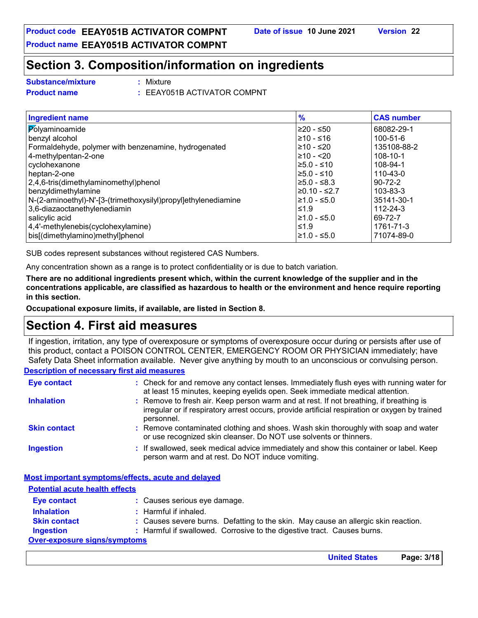# **Section 3. Composition/information on ingredients**

#### **Substance/mixture :**

#### Mixture

**Product name :** EEAY051B ACTIVATOR COMPNT

| <b>Ingredient name</b>                                         | $\frac{9}{6}$ | <b>CAS number</b> |
|----------------------------------------------------------------|---------------|-------------------|
| <b>Polyaminoamide</b>                                          | ≥20 - ≤50     | 68082-29-1        |
| benzyl alcohol                                                 | 1≥10 - ≤16    | 100-51-6          |
| Formaldehyde, polymer with benzenamine, hydrogenated           | 210 - ≤20     | 135108-88-2       |
| 4-methylpentan-2-one                                           | 210 - <20     | 108-10-1          |
| cyclohexanone                                                  | l≥5.0 - ≤10   | 108-94-1          |
| l heptan-2-one                                                 | l≥5.0 - ≤10   | 110-43-0          |
| 2,4,6-tris(dimethylaminomethyl)phenol                          | l≥5.0 - ≤8.3  | $90 - 72 - 2$     |
| benzyldimethylamine                                            | l≥0.10 - ≤2.7 | 103-83-3          |
| N-(2-aminoethyl)-N'-[3-(trimethoxysilyl)propyl]ethylenediamine | l≥1.0 - ≤5.0  | 35141-30-1        |
| 3,6-diazaoctanethylenediamin                                   | ≤1.9          | $112 - 24 - 3$    |
| salicylic acid                                                 | l≥1.0 - ≤5.0  | 69-72-7           |
| 4,4'-methylenebis(cyclohexylamine)                             | ≤1.9          | 1761-71-3         |
| bis[(dimethylamino)methyl]phenol                               | l≥1.0 - ≤5.0  | 71074-89-0        |

SUB codes represent substances without registered CAS Numbers.

Any concentration shown as a range is to protect confidentiality or is due to batch variation.

**There are no additional ingredients present which, within the current knowledge of the supplier and in the concentrations applicable, are classified as hazardous to health or the environment and hence require reporting in this section.**

**Occupational exposure limits, if available, are listed in Section 8.**

# **Section 4. First aid measures**

If ingestion, irritation, any type of overexposure or symptoms of overexposure occur during or persists after use of this product, contact a POISON CONTROL CENTER, EMERGENCY ROOM OR PHYSICIAN immediately; have Safety Data Sheet information available. Never give anything by mouth to an unconscious or convulsing person.

## **Description of necessary first aid measures**

| <b>Eye contact</b>  | : Check for and remove any contact lenses. Immediately flush eyes with running water for<br>at least 15 minutes, keeping eyelids open. Seek immediate medical attention.                               |
|---------------------|--------------------------------------------------------------------------------------------------------------------------------------------------------------------------------------------------------|
| <b>Inhalation</b>   | : Remove to fresh air. Keep person warm and at rest. If not breathing, if breathing is<br>irregular or if respiratory arrest occurs, provide artificial respiration or oxygen by trained<br>personnel. |
| <b>Skin contact</b> | : Remove contaminated clothing and shoes. Wash skin thoroughly with soap and water<br>or use recognized skin cleanser. Do NOT use solvents or thinners.                                                |
| <b>Ingestion</b>    | : If swallowed, seek medical advice immediately and show this container or label. Keep<br>person warm and at rest. Do NOT induce vomiting.                                                             |

| <b>Potential acute health effects</b> |                                                                                    |
|---------------------------------------|------------------------------------------------------------------------------------|
| <b>Eye contact</b>                    | : Causes serious eye damage.                                                       |
| <b>Inhalation</b>                     | $:$ Harmful if inhaled.                                                            |
| <b>Skin contact</b>                   | : Causes severe burns. Defatting to the skin. May cause an allergic skin reaction. |
| <b>Ingestion</b>                      | : Harmful if swallowed. Corrosive to the digestive tract. Causes burns.            |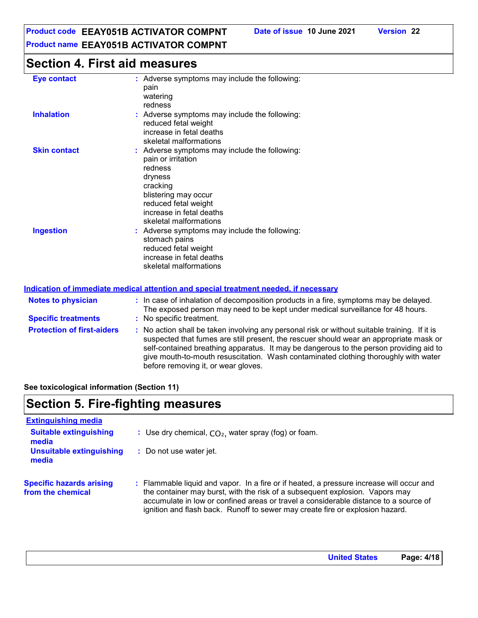# **Section 4. First aid measures**

| <b>Eye contact</b>  | : Adverse symptoms may include the following:<br>pain<br>watering                                                                                                                                           |
|---------------------|-------------------------------------------------------------------------------------------------------------------------------------------------------------------------------------------------------------|
| <b>Inhalation</b>   | redness<br>: Adverse symptoms may include the following:<br>reduced fetal weight<br>increase in fetal deaths<br>skeletal malformations                                                                      |
| <b>Skin contact</b> | : Adverse symptoms may include the following:<br>pain or irritation<br>redness<br>dryness<br>cracking<br>blistering may occur<br>reduced fetal weight<br>increase in fetal deaths<br>skeletal malformations |
| <b>Ingestion</b>    | : Adverse symptoms may include the following:<br>stomach pains<br>reduced fetal weight<br>increase in fetal deaths<br>skeletal malformations                                                                |

#### **Protection of first-aiders** : No action shall be taken involving any personal risk or without suitable training. If it is suspected that fumes are still present, the rescuer should wear an appropriate mask or self-contained breathing apparatus. It may be dangerous to the person providing aid to give mouth-to-mouth resuscitation. Wash contaminated clothing thoroughly with water before removing it, or wear gloves. **Notes to physician :** In case of inhalation of decomposition products in a fire, symptoms may be delayed. The exposed person may need to be kept under medical surveillance for 48 hours. **Specific treatments :** No specific treatment. **Indication of immediate medical attention and special treatment needed, if necessary**

**See toxicological information (Section 11)**

# **Section 5. Fire-fighting measures**

| <b>Extinguishing media</b>                           |                                                                                                                                                                                                                                                                                                                                                   |
|------------------------------------------------------|---------------------------------------------------------------------------------------------------------------------------------------------------------------------------------------------------------------------------------------------------------------------------------------------------------------------------------------------------|
| <b>Suitable extinguishing</b><br>media               | : Use dry chemical, $CO2$ , water spray (fog) or foam.                                                                                                                                                                                                                                                                                            |
| <b>Unsuitable extinguishing</b><br>media             | : Do not use water jet.                                                                                                                                                                                                                                                                                                                           |
| <b>Specific hazards arising</b><br>from the chemical | : Flammable liquid and vapor. In a fire or if heated, a pressure increase will occur and<br>the container may burst, with the risk of a subsequent explosion. Vapors may<br>accumulate in low or confined areas or travel a considerable distance to a source of<br>ignition and flash back. Runoff to sewer may create fire or explosion hazard. |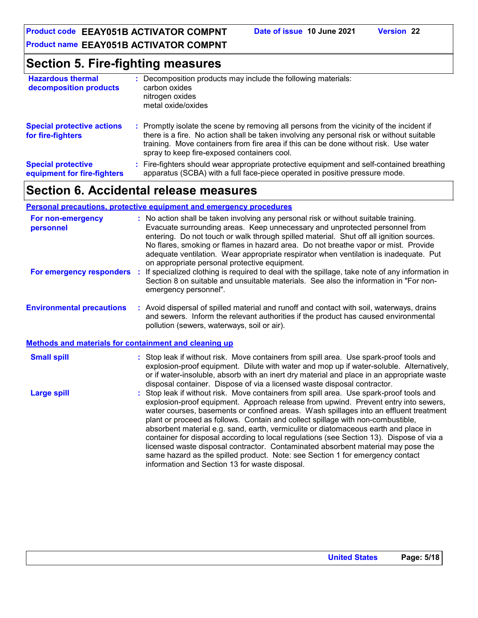**Product code EEAY051B ACTIVATOR COMPNT Date of issue 10 June 2021 Version 22**

**Product name EEAY051B ACTIVATOR COMPNT**

# **Section 5. Fire-fighting measures**

| <b>Hazardous thermal</b><br>decomposition products       | Decomposition products may include the following materials:<br>carbon oxides<br>nitrogen oxides<br>metal oxide/oxides                                                                                                                                                                                                             |  |
|----------------------------------------------------------|-----------------------------------------------------------------------------------------------------------------------------------------------------------------------------------------------------------------------------------------------------------------------------------------------------------------------------------|--|
| <b>Special protective actions</b><br>for fire-fighters   | Promptly isolate the scene by removing all persons from the vicinity of the incident if<br>÷.<br>there is a fire. No action shall be taken involving any personal risk or without suitable<br>training. Move containers from fire area if this can be done without risk. Use water<br>spray to keep fire-exposed containers cool. |  |
| <b>Special protective</b><br>equipment for fire-fighters | Fire-fighters should wear appropriate protective equipment and self-contained breathing<br>apparatus (SCBA) with a full face-piece operated in positive pressure mode.                                                                                                                                                            |  |
|                                                          |                                                                                                                                                                                                                                                                                                                                   |  |

# **Section 6. Accidental release measures**

## **Personal precautions, protective equipment and emergency procedures**

| : No action shall be taken involving any personal risk or without suitable training.<br>Evacuate surrounding areas. Keep unnecessary and unprotected personnel from<br>entering. Do not touch or walk through spilled material. Shut off all ignition sources.<br>No flares, smoking or flames in hazard area. Do not breathe vapor or mist. Provide<br>adequate ventilation. Wear appropriate respirator when ventilation is inadequate. Put<br>on appropriate personal protective equipment.<br>If specialized clothing is required to deal with the spillage, take note of any information in<br>÷<br>Section 8 on suitable and unsuitable materials. See also the information in "For non-                                                                       |  |
|----------------------------------------------------------------------------------------------------------------------------------------------------------------------------------------------------------------------------------------------------------------------------------------------------------------------------------------------------------------------------------------------------------------------------------------------------------------------------------------------------------------------------------------------------------------------------------------------------------------------------------------------------------------------------------------------------------------------------------------------------------------------|--|
| emergency personnel".                                                                                                                                                                                                                                                                                                                                                                                                                                                                                                                                                                                                                                                                                                                                                |  |
| : Avoid dispersal of spilled material and runoff and contact with soil, waterways, drains<br>and sewers. Inform the relevant authorities if the product has caused environmental<br>pollution (sewers, waterways, soil or air).                                                                                                                                                                                                                                                                                                                                                                                                                                                                                                                                      |  |
| <b>Methods and materials for containment and cleaning up</b>                                                                                                                                                                                                                                                                                                                                                                                                                                                                                                                                                                                                                                                                                                         |  |
| : Stop leak if without risk. Move containers from spill area. Use spark-proof tools and<br>explosion-proof equipment. Dilute with water and mop up if water-soluble. Alternatively,<br>or if water-insoluble, absorb with an inert dry material and place in an appropriate waste<br>disposal container. Dispose of via a licensed waste disposal contractor.                                                                                                                                                                                                                                                                                                                                                                                                        |  |
| : Stop leak if without risk. Move containers from spill area. Use spark-proof tools and<br>explosion-proof equipment. Approach release from upwind. Prevent entry into sewers,<br>water courses, basements or confined areas. Wash spillages into an effluent treatment<br>plant or proceed as follows. Contain and collect spillage with non-combustible,<br>absorbent material e.g. sand, earth, vermiculite or diatomaceous earth and place in<br>container for disposal according to local regulations (see Section 13). Dispose of via a<br>licensed waste disposal contractor. Contaminated absorbent material may pose the<br>same hazard as the spilled product. Note: see Section 1 for emergency contact<br>information and Section 13 for waste disposal. |  |
| For emergency responders                                                                                                                                                                                                                                                                                                                                                                                                                                                                                                                                                                                                                                                                                                                                             |  |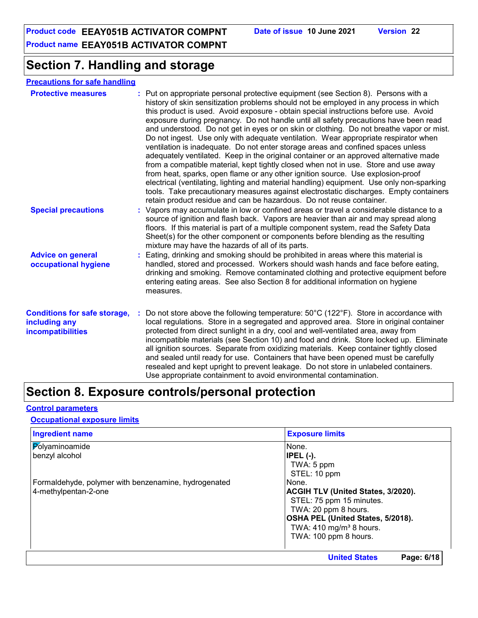# **Section 7. Handling and storage**

#### **Precautions for safe handling**

| <b>Protective measures</b>                                                       | : Put on appropriate personal protective equipment (see Section 8). Persons with a<br>history of skin sensitization problems should not be employed in any process in which<br>this product is used. Avoid exposure - obtain special instructions before use. Avoid<br>exposure during pregnancy. Do not handle until all safety precautions have been read<br>and understood. Do not get in eyes or on skin or clothing. Do not breathe vapor or mist.<br>Do not ingest. Use only with adequate ventilation. Wear appropriate respirator when<br>ventilation is inadequate. Do not enter storage areas and confined spaces unless<br>adequately ventilated. Keep in the original container or an approved alternative made<br>from a compatible material, kept tightly closed when not in use. Store and use away<br>from heat, sparks, open flame or any other ignition source. Use explosion-proof<br>electrical (ventilating, lighting and material handling) equipment. Use only non-sparking<br>tools. Take precautionary measures against electrostatic discharges. Empty containers<br>retain product residue and can be hazardous. Do not reuse container. |  |
|----------------------------------------------------------------------------------|---------------------------------------------------------------------------------------------------------------------------------------------------------------------------------------------------------------------------------------------------------------------------------------------------------------------------------------------------------------------------------------------------------------------------------------------------------------------------------------------------------------------------------------------------------------------------------------------------------------------------------------------------------------------------------------------------------------------------------------------------------------------------------------------------------------------------------------------------------------------------------------------------------------------------------------------------------------------------------------------------------------------------------------------------------------------------------------------------------------------------------------------------------------------|--|
| <b>Special precautions</b>                                                       | : Vapors may accumulate in low or confined areas or travel a considerable distance to a<br>source of ignition and flash back. Vapors are heavier than air and may spread along<br>floors. If this material is part of a multiple component system, read the Safety Data<br>Sheet(s) for the other component or components before blending as the resulting<br>mixture may have the hazards of all of its parts.                                                                                                                                                                                                                                                                                                                                                                                                                                                                                                                                                                                                                                                                                                                                                     |  |
| <b>Advice on general</b><br>occupational hygiene                                 | : Eating, drinking and smoking should be prohibited in areas where this material is<br>handled, stored and processed. Workers should wash hands and face before eating,<br>drinking and smoking. Remove contaminated clothing and protective equipment before<br>entering eating areas. See also Section 8 for additional information on hygiene<br>measures.                                                                                                                                                                                                                                                                                                                                                                                                                                                                                                                                                                                                                                                                                                                                                                                                       |  |
| <b>Conditions for safe storage,</b><br>including any<br><b>incompatibilities</b> | Do not store above the following temperature: 50°C (122°F). Store in accordance with<br>local regulations. Store in a segregated and approved area. Store in original container<br>protected from direct sunlight in a dry, cool and well-ventilated area, away from<br>incompatible materials (see Section 10) and food and drink. Store locked up. Eliminate<br>all ignition sources. Separate from oxidizing materials. Keep container tightly closed<br>and sealed until ready for use. Containers that have been opened must be carefully<br>resealed and kept upright to prevent leakage. Do not store in unlabeled containers.<br>Use appropriate containment to avoid environmental contamination.                                                                                                                                                                                                                                                                                                                                                                                                                                                          |  |

# **Section 8. Exposure controls/personal protection**

#### **Control parameters**

# **Occupational exposure limits**

| <b>Ingredient name</b>                                                       | <b>Exposure limits</b>                                                                                                                                                                                        |
|------------------------------------------------------------------------------|---------------------------------------------------------------------------------------------------------------------------------------------------------------------------------------------------------------|
| Polyaminoamide<br>benzyl alcohol                                             | None.<br>IPEL (-).<br>TWA: 5 ppm<br>STEL: 10 ppm                                                                                                                                                              |
| Formaldehyde, polymer with benzenamine, hydrogenated<br>4-methylpentan-2-one | None.<br><b>ACGIH TLV (United States, 3/2020).</b><br>STEL: 75 ppm 15 minutes.<br>TWA: 20 ppm 8 hours.<br>OSHA PEL (United States, 5/2018).<br>TWA: $410$ mg/m <sup>3</sup> 8 hours.<br>TWA: 100 ppm 8 hours. |
|                                                                              | <b>United States</b><br>Page: 6/18                                                                                                                                                                            |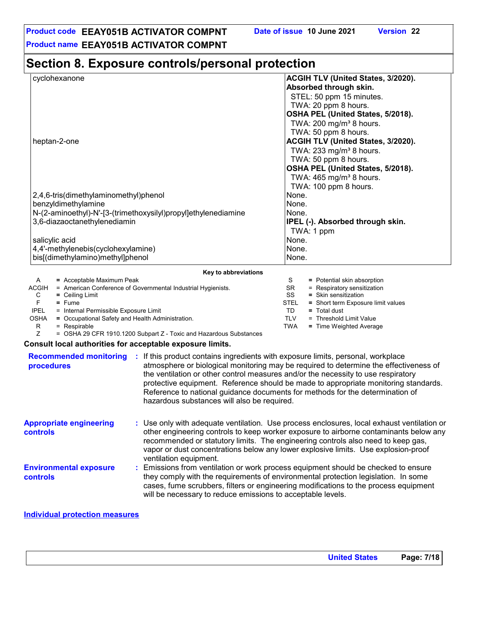| Section 8. Exposure controls/personal protection |  |
|--------------------------------------------------|--|
|--------------------------------------------------|--|

| <b>ACGIH TLV (United States, 3/2020).</b> |
|-------------------------------------------|
| Absorbed through skin.                    |
| STEL: 50 ppm 15 minutes.                  |
| TWA: 20 ppm 8 hours.                      |
| OSHA PEL (United States, 5/2018).         |
| TWA: $200 \text{ mg/m}^3$ 8 hours.        |
| TWA: 50 ppm 8 hours.                      |
| ACGIH TLV (United States, 3/2020).        |
| TWA: $233$ mg/m <sup>3</sup> 8 hours.     |
| TWA: 50 ppm 8 hours.                      |
| OSHA PEL (United States, 5/2018).         |
| TWA: $465$ mg/m <sup>3</sup> 8 hours.     |
| TWA: 100 ppm 8 hours.                     |
| None.                                     |
| None.                                     |
| None.                                     |
| IPEL (-). Absorbed through skin.          |
| TWA: 1 ppm                                |
| None.                                     |
| None.                                     |
| None.                                     |
|                                           |

#### **Key to abbreviations**

| A           | $=$ Acceptable Maximum Peak                                  |             | = Potential skin absorption        |
|-------------|--------------------------------------------------------------|-------------|------------------------------------|
| ACGIH       | = American Conference of Governmental Industrial Hygienists. | SR.         | = Respiratory sensitization        |
| C.          | $=$ Ceiling Limit                                            | SS          | $=$ Skin sensitization             |
|             | $=$ Fume                                                     | <b>STEL</b> | = Short term Exposure limit values |
| <b>IPEL</b> | = Internal Permissible Exposure Limit                        | TD          | $=$ Total dust                     |
| OSHA        | = Occupational Safety and Health Administration.             | TLV         | = Threshold Limit Value            |
|             | $=$ Respirable                                               | TWA         | = Time Weighted Average            |
|             |                                                              |             |                                    |

Z = OSHA 29 CFR 1910.1200 Subpart Z - Toxic and Hazardous Substances

#### **Consult local authorities for acceptable exposure limits.**

| <b>Recommended monitoring</b><br>procedures       | : If this product contains ingredients with exposure limits, personal, workplace<br>atmosphere or biological monitoring may be required to determine the effectiveness of<br>the ventilation or other control measures and/or the necessity to use respiratory<br>protective equipment. Reference should be made to appropriate monitoring standards.<br>Reference to national guidance documents for methods for the determination of<br>hazardous substances will also be required. |
|---------------------------------------------------|---------------------------------------------------------------------------------------------------------------------------------------------------------------------------------------------------------------------------------------------------------------------------------------------------------------------------------------------------------------------------------------------------------------------------------------------------------------------------------------|
| <b>Appropriate engineering</b><br><b>controls</b> | : Use only with adequate ventilation. Use process enclosures, local exhaust ventilation or<br>other engineering controls to keep worker exposure to airborne contaminants below any<br>recommended or statutory limits. The engineering controls also need to keep gas,<br>vapor or dust concentrations below any lower explosive limits. Use explosion-proof<br>ventilation equipment.                                                                                               |
| <b>Environmental exposure</b><br><b>controls</b>  | : Emissions from ventilation or work process equipment should be checked to ensure<br>they comply with the requirements of environmental protection legislation. In some<br>cases, fume scrubbers, filters or engineering modifications to the process equipment<br>will be necessary to reduce emissions to acceptable levels.                                                                                                                                                       |

#### **Individual protection measures**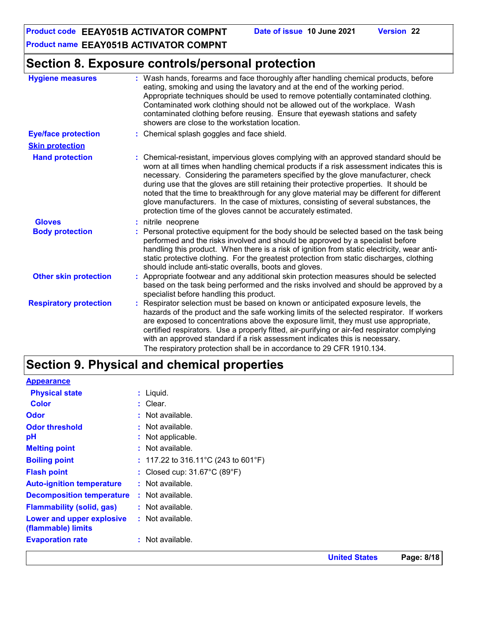**United States Page: 8/18**

**Product name EEAY051B ACTIVATOR COMPNT**

# **Section 8. Exposure controls/personal protection**

| <b>Hygiene measures</b>       | : Wash hands, forearms and face thoroughly after handling chemical products, before<br>eating, smoking and using the lavatory and at the end of the working period.<br>Appropriate techniques should be used to remove potentially contaminated clothing.<br>Contaminated work clothing should not be allowed out of the workplace. Wash<br>contaminated clothing before reusing. Ensure that eyewash stations and safety<br>showers are close to the workstation location.                                                                                                                                            |
|-------------------------------|------------------------------------------------------------------------------------------------------------------------------------------------------------------------------------------------------------------------------------------------------------------------------------------------------------------------------------------------------------------------------------------------------------------------------------------------------------------------------------------------------------------------------------------------------------------------------------------------------------------------|
| <b>Eye/face protection</b>    | : Chemical splash goggles and face shield.                                                                                                                                                                                                                                                                                                                                                                                                                                                                                                                                                                             |
| <b>Skin protection</b>        |                                                                                                                                                                                                                                                                                                                                                                                                                                                                                                                                                                                                                        |
| <b>Hand protection</b>        | : Chemical-resistant, impervious gloves complying with an approved standard should be<br>worn at all times when handling chemical products if a risk assessment indicates this is<br>necessary. Considering the parameters specified by the glove manufacturer, check<br>during use that the gloves are still retaining their protective properties. It should be<br>noted that the time to breakthrough for any glove material may be different for different<br>glove manufacturers. In the case of mixtures, consisting of several substances, the<br>protection time of the gloves cannot be accurately estimated. |
| <b>Gloves</b>                 | : nitrile neoprene                                                                                                                                                                                                                                                                                                                                                                                                                                                                                                                                                                                                     |
| <b>Body protection</b>        | Personal protective equipment for the body should be selected based on the task being<br>performed and the risks involved and should be approved by a specialist before<br>handling this product. When there is a risk of ignition from static electricity, wear anti-<br>static protective clothing. For the greatest protection from static discharges, clothing<br>should include anti-static overalls, boots and gloves.                                                                                                                                                                                           |
| <b>Other skin protection</b>  | : Appropriate footwear and any additional skin protection measures should be selected<br>based on the task being performed and the risks involved and should be approved by a<br>specialist before handling this product.                                                                                                                                                                                                                                                                                                                                                                                              |
| <b>Respiratory protection</b> | : Respirator selection must be based on known or anticipated exposure levels, the<br>hazards of the product and the safe working limits of the selected respirator. If workers<br>are exposed to concentrations above the exposure limit, they must use appropriate,<br>certified respirators. Use a properly fitted, air-purifying or air-fed respirator complying<br>with an approved standard if a risk assessment indicates this is necessary.<br>The respiratory protection shall be in accordance to 29 CFR 1910.134.                                                                                            |

# **Section 9. Physical and chemical properties**

| <b>Appearance</b>                               |    |                                                   |
|-------------------------------------------------|----|---------------------------------------------------|
| <b>Physical state</b>                           |    | $:$ Liquid.                                       |
| <b>Color</b>                                    |    | : Clear.                                          |
| <b>Odor</b>                                     | ÷. | Not available.                                    |
| <b>Odor threshold</b>                           | ۰. | Not available.                                    |
| рH                                              |    | : Not applicable.                                 |
| <b>Melting point</b>                            |    | : Not available.                                  |
| <b>Boiling point</b>                            |    | : 117.22 to 316.11 °C (243 to 601 °F)             |
| <b>Flash point</b>                              |    | : Closed cup: $31.67^{\circ}$ C (89 $^{\circ}$ F) |
| <b>Auto-ignition temperature</b>                |    | : Not available.                                  |
| <b>Decomposition temperature</b>                |    | $:$ Not available.                                |
| <b>Flammability (solid, gas)</b>                |    | : Not available.                                  |
| Lower and upper explosive<br>(flammable) limits |    | : Not available.                                  |
| <b>Evaporation rate</b>                         |    | : Not available.                                  |
|                                                 |    |                                                   |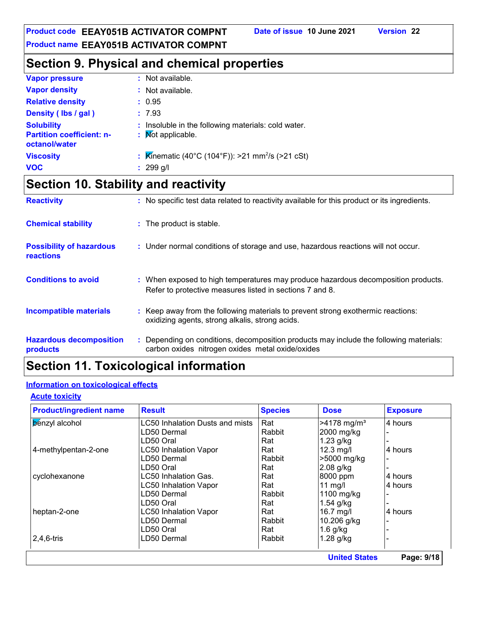# **Section 9. Physical and chemical properties**

| <b>Vapor pressure</b>                                                  | : Not available.                                                                    |
|------------------------------------------------------------------------|-------------------------------------------------------------------------------------|
| <b>Vapor density</b>                                                   | : Not available.                                                                    |
| <b>Relative density</b>                                                | : 0.95                                                                              |
| Density (Ibs / gal)                                                    | : 7.93                                                                              |
| <b>Solubility</b><br><b>Partition coefficient: n-</b><br>octanol/water | : Insoluble in the following materials: cold water.<br>: Mot applicable.            |
| <b>Viscosity</b>                                                       | : $\overline{\mathsf{K}}$ inematic (40°C (104°F)): >21 mm <sup>2</sup> /s (>21 cSt) |
| <b>VOC</b>                                                             | $: 299$ g/l                                                                         |

# **Section 10. Stability and reactivity**

| <b>Reactivity</b>                            | : No specific test data related to reactivity available for this product or its ingredients.                                                  |
|----------------------------------------------|-----------------------------------------------------------------------------------------------------------------------------------------------|
| <b>Chemical stability</b>                    | : The product is stable.                                                                                                                      |
| <b>Possibility of hazardous</b><br>reactions | : Under normal conditions of storage and use, hazardous reactions will not occur.                                                             |
| <b>Conditions to avoid</b>                   | : When exposed to high temperatures may produce hazardous decomposition products.<br>Refer to protective measures listed in sections 7 and 8. |
| <b>Incompatible materials</b>                | : Keep away from the following materials to prevent strong exothermic reactions:<br>oxidizing agents, strong alkalis, strong acids.           |
| <b>Hazardous decomposition</b><br>products   | : Depending on conditions, decomposition products may include the following materials:<br>carbon oxides nitrogen oxides metal oxide/oxides    |

# **Section 11. Toxicological information**

#### **Information on toxicological effects**

#### **Acute toxicity**

| <b>Product/ingredient name</b> | <b>Result</b>                   | <b>Species</b> | <b>Dose</b>               | <b>Exposure</b> |
|--------------------------------|---------------------------------|----------------|---------------------------|-----------------|
| benzyl alcohol                 | LC50 Inhalation Dusts and mists | Rat            | $>4178$ mg/m <sup>3</sup> | 4 hours         |
|                                | LD50 Dermal                     | Rabbit         | 2000 mg/kg                |                 |
|                                | LD50 Oral                       | Rat            | $1.23$ g/kg               |                 |
| 4-methylpentan-2-one           | <b>LC50 Inhalation Vapor</b>    | Rat            | $12.3$ mg/l               | 4 hours         |
|                                | LD50 Dermal                     | Rabbit         | >5000 mg/kg               |                 |
|                                | LD50 Oral                       | Rat            | $2.08$ g/kg               |                 |
| cyclohexanone                  | LC50 Inhalation Gas.            | Rat            | 8000 ppm                  | 4 hours         |
|                                | <b>LC50 Inhalation Vapor</b>    | Rat            | $11$ mg/l                 | 4 hours         |
|                                | LD50 Dermal                     | Rabbit         | 1100 mg/kg                |                 |
|                                | LD50 Oral                       | Rat            | $1.54$ g/kg               |                 |
| heptan-2-one                   | <b>LC50 Inhalation Vapor</b>    | Rat            | 16.7 mg/l                 | 4 hours         |
|                                | LD50 Dermal                     | Rabbit         | 10.206 g/kg               |                 |
|                                | LD50 Oral                       | Rat            | $1.6$ g/kg                |                 |
| $2,4,6$ -tris                  | LD50 Dermal                     | Rabbit         | 1.28 g/kg                 |                 |
|                                |                                 |                | <b>United States</b>      | Page: 9/18      |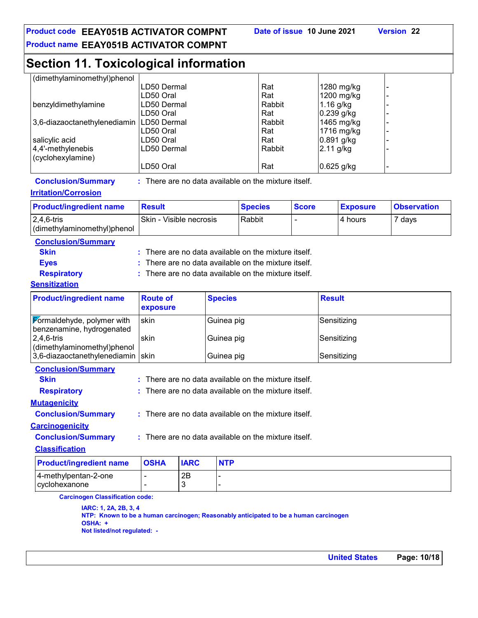# **Section 11. Toxicological information**

| (dimethylaminomethyl)phenol         |                                                      |             |                |                |                                                    |              |               |                          |                    |
|-------------------------------------|------------------------------------------------------|-------------|----------------|----------------|----------------------------------------------------|--------------|---------------|--------------------------|--------------------|
|                                     | LD50 Dermal                                          |             |                |                | Rat                                                |              |               | 1280 mg/kg               |                    |
|                                     | LD50 Oral                                            |             |                |                | Rat                                                |              |               | 1200 mg/kg               |                    |
| benzyldimethylamine                 | LD50 Dermal                                          |             |                |                | Rabbit<br>Rat                                      |              | 1.16 g/kg     |                          |                    |
| 3,6-diazaoctanethylenediamin        | LD50 Oral<br>LD50 Dermal                             |             |                |                | Rabbit                                             |              |               | 0.239 g/kg<br>1465 mg/kg |                    |
|                                     | LD50 Oral                                            |             |                |                | Rat                                                |              |               | 1716 mg/kg               |                    |
| salicylic acid                      | LD50 Oral                                            |             |                |                | Rat                                                |              |               | 0.891 g/kg               |                    |
| 4,4'-methylenebis                   | LD50 Dermal                                          |             |                |                | Rabbit                                             |              | 2.11 g/kg     |                          |                    |
| (cyclohexylamine)                   |                                                      |             |                |                |                                                    |              |               |                          |                    |
|                                     | LD50 Oral                                            |             |                |                | Rat                                                |              |               | 0.625 g/kg               |                    |
| <b>Conclusion/Summary</b>           | : There are no data available on the mixture itself. |             |                |                |                                                    |              |               |                          |                    |
| <b>Irritation/Corrosion</b>         |                                                      |             |                |                |                                                    |              |               |                          |                    |
| <b>Product/ingredient name</b>      | <b>Result</b>                                        |             |                | <b>Species</b> |                                                    | <b>Score</b> |               | <b>Exposure</b>          | <b>Observation</b> |
| $2,4,6$ -tris                       | Skin - Visible necrosis                              |             |                | Rabbit         |                                                    |              |               | 4 hours                  | 7 days             |
| (dimethylaminomethyl)phenol         |                                                      |             |                |                |                                                    |              |               |                          |                    |
| <b>Conclusion/Summary</b>           |                                                      |             |                |                |                                                    |              |               |                          |                    |
| <b>Skin</b>                         | There are no data available on the mixture itself.   |             |                |                |                                                    |              |               |                          |                    |
| <b>Eyes</b>                         |                                                      |             |                |                | There are no data available on the mixture itself. |              |               |                          |                    |
| <b>Respiratory</b>                  | There are no data available on the mixture itself.   |             |                |                |                                                    |              |               |                          |                    |
| <b>Sensitization</b>                |                                                      |             |                |                |                                                    |              |               |                          |                    |
| <b>Product/ingredient name</b>      | <b>Route of</b>                                      |             | <b>Species</b> |                |                                                    |              | <b>Result</b> |                          |                    |
|                                     | exposure                                             |             |                |                |                                                    |              |               |                          |                    |
| Formaldehyde, polymer with          | skin                                                 |             | Guinea pig     |                |                                                    |              |               | Sensitizing              |                    |
| benzenamine, hydrogenated           |                                                      |             |                |                |                                                    |              |               |                          |                    |
| 2,4,6-tris                          | skin                                                 |             | Guinea pig     |                |                                                    |              |               | Sensitizing              |                    |
| (dimethylaminomethyl)phenol         |                                                      |             |                |                |                                                    |              |               |                          |                    |
| 3,6-diazaoctanethylenediamin   skin |                                                      |             | Guinea pig     |                |                                                    |              |               | Sensitizing              |                    |
| <b>Conclusion/Summary</b>           |                                                      |             |                |                |                                                    |              |               |                          |                    |
| <b>Skin</b>                         | There are no data available on the mixture itself.   |             |                |                |                                                    |              |               |                          |                    |
| <b>Respiratory</b>                  | There are no data available on the mixture itself.   |             |                |                |                                                    |              |               |                          |                    |
| <b>Mutagenicity</b>                 |                                                      |             |                |                |                                                    |              |               |                          |                    |
| <b>Conclusion/Summary</b>           | : There are no data available on the mixture itself. |             |                |                |                                                    |              |               |                          |                    |
| <b>Carcinogenicity</b>              |                                                      |             |                |                |                                                    |              |               |                          |                    |
| <b>Conclusion/Summary</b>           | : There are no data available on the mixture itself. |             |                |                |                                                    |              |               |                          |                    |
| <b>Classification</b>               |                                                      |             |                |                |                                                    |              |               |                          |                    |
| <b>Product/ingredient name</b>      | <b>OSHA</b>                                          | <b>IARC</b> | <b>NTP</b>     |                |                                                    |              |               |                          |                    |
| 4-methylpentan-2-one                | $\blacksquare$                                       | 2B          |                |                |                                                    |              |               |                          |                    |
| cyclohexanone                       | $\overline{\phantom{a}}$                             | $\sqrt{3}$  |                |                |                                                    |              |               |                          |                    |

**Carcinogen Classification code:**

**IARC: 1, 2A, 2B, 3, 4 NTP: Known to be a human carcinogen; Reasonably anticipated to be a human carcinogen OSHA: + Not listed/not regulated: -**

**United States Page: 10/18**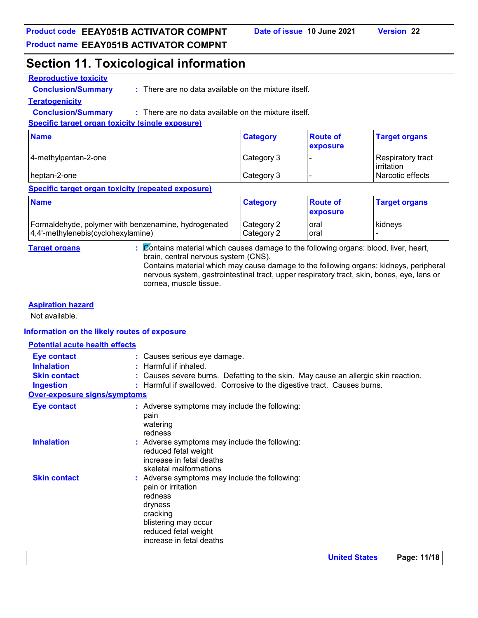# **Section 11. Toxicological information**

## **Reproductive toxicity**

**Conclusion/Summary :**

There are no data available on the mixture itself.

#### **Teratogenicity**

**Conclusion/Summary :** : There are no data available on the mixture itself.

#### **Specific target organ toxicity (single exposure)**

| <b>Name</b>          | <b>Category</b> | <b>Route of</b><br>exposure | <b>Target organs</b>              |
|----------------------|-----------------|-----------------------------|-----------------------------------|
| 4-methylpentan-2-one | Category 3      |                             | Respiratory tract<br>l irritation |
| l heptan-2-one_      | Category 3      |                             | Narcotic effects                  |

#### **Specific target organ toxicity (repeated exposure)**

| <b>Name</b>                                          | <b>Category</b> | <b>Route of</b><br><b>exposure</b> | <b>Target organs</b> |
|------------------------------------------------------|-----------------|------------------------------------|----------------------|
| Formaldehyde, polymer with benzenamine, hydrogenated | Category 2      | loral                              | kidneys              |
| $ 4,4'$ -methylenebis(cyclohexylamine)               | Category 2      | loral                              |                      |

**Target organs :** Contains material which causes damage to the following organs: blood, liver, heart, brain, central nervous system (CNS).

Contains material which may cause damage to the following organs: kidneys, peripheral nervous system, gastrointestinal tract, upper respiratory tract, skin, bones, eye, lens or cornea, muscle tissue.

#### **Aspiration hazard**

Not available.

#### **Information on the likely routes of exposure**

#### **Potential acute health effects Inhalation :** Harmful if inhaled. **Ingestion :** Harmful if swallowed. Corrosive to the digestive tract. Causes burns. **Skin contact :** Causes severe burns. Defatting to the skin. May cause an allergic skin reaction. **Eye contact :** Causes serious eye damage. **Over-exposure signs/symptoms Skin contact Inhalation**  The Superse symptoms may include the following: reduced fetal weight increase in fetal deaths skeletal malformations Adverse symptoms may include the following: **:** pain or irritation redness dryness cracking blistering may occur reduced fetal weight increase in fetal deaths **Eye contact :** Adverse symptoms may include the following: pain watering redness

**United States Page: 11/18**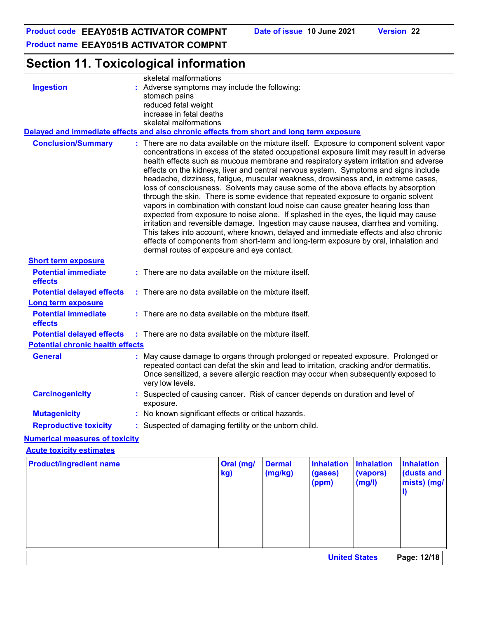**Product code EEAY051B ACTIVATOR COMPNT Date of issue 10 June 2021 Version 22**

**Product name EEAY051B ACTIVATOR COMPNT**

# **Section 11. Toxicological information**

| skeletal malformations<br><b>Ingestion</b><br>: Adverse symptoms may include the following:<br>stomach pains<br>reduced fetal weight<br>increase in fetal deaths |  |                                                                                                                                                                                                                                                                                                                                                                                                                                                                                                                                                                                                                                                                                                                                                                                                                                                                                                                                                                                                                                                                                                                                           |                  |                          |                                       |                                         |                                                      |
|------------------------------------------------------------------------------------------------------------------------------------------------------------------|--|-------------------------------------------------------------------------------------------------------------------------------------------------------------------------------------------------------------------------------------------------------------------------------------------------------------------------------------------------------------------------------------------------------------------------------------------------------------------------------------------------------------------------------------------------------------------------------------------------------------------------------------------------------------------------------------------------------------------------------------------------------------------------------------------------------------------------------------------------------------------------------------------------------------------------------------------------------------------------------------------------------------------------------------------------------------------------------------------------------------------------------------------|------------------|--------------------------|---------------------------------------|-----------------------------------------|------------------------------------------------------|
|                                                                                                                                                                  |  | skeletal malformations                                                                                                                                                                                                                                                                                                                                                                                                                                                                                                                                                                                                                                                                                                                                                                                                                                                                                                                                                                                                                                                                                                                    |                  |                          |                                       |                                         |                                                      |
| Delayed and immediate effects and also chronic effects from short and long term exposure                                                                         |  |                                                                                                                                                                                                                                                                                                                                                                                                                                                                                                                                                                                                                                                                                                                                                                                                                                                                                                                                                                                                                                                                                                                                           |                  |                          |                                       |                                         |                                                      |
| <b>Conclusion/Summary</b>                                                                                                                                        |  | : There are no data available on the mixture itself. Exposure to component solvent vapor<br>concentrations in excess of the stated occupational exposure limit may result in adverse<br>health effects such as mucous membrane and respiratory system irritation and adverse<br>effects on the kidneys, liver and central nervous system. Symptoms and signs include<br>headache, dizziness, fatigue, muscular weakness, drowsiness and, in extreme cases,<br>loss of consciousness. Solvents may cause some of the above effects by absorption<br>through the skin. There is some evidence that repeated exposure to organic solvent<br>vapors in combination with constant loud noise can cause greater hearing loss than<br>expected from exposure to noise alone. If splashed in the eyes, the liquid may cause<br>irritation and reversible damage. Ingestion may cause nausea, diarrhea and vomiting.<br>This takes into account, where known, delayed and immediate effects and also chronic<br>effects of components from short-term and long-term exposure by oral, inhalation and<br>dermal routes of exposure and eye contact. |                  |                          |                                       |                                         |                                                      |
| <b>Short term exposure</b>                                                                                                                                       |  |                                                                                                                                                                                                                                                                                                                                                                                                                                                                                                                                                                                                                                                                                                                                                                                                                                                                                                                                                                                                                                                                                                                                           |                  |                          |                                       |                                         |                                                      |
| <b>Potential immediate</b><br>effects                                                                                                                            |  | : There are no data available on the mixture itself.                                                                                                                                                                                                                                                                                                                                                                                                                                                                                                                                                                                                                                                                                                                                                                                                                                                                                                                                                                                                                                                                                      |                  |                          |                                       |                                         |                                                      |
| <b>Potential delayed effects</b>                                                                                                                                 |  | : There are no data available on the mixture itself.                                                                                                                                                                                                                                                                                                                                                                                                                                                                                                                                                                                                                                                                                                                                                                                                                                                                                                                                                                                                                                                                                      |                  |                          |                                       |                                         |                                                      |
| Long term exposure                                                                                                                                               |  |                                                                                                                                                                                                                                                                                                                                                                                                                                                                                                                                                                                                                                                                                                                                                                                                                                                                                                                                                                                                                                                                                                                                           |                  |                          |                                       |                                         |                                                      |
| <b>Potential immediate</b><br>effects                                                                                                                            |  | : There are no data available on the mixture itself.                                                                                                                                                                                                                                                                                                                                                                                                                                                                                                                                                                                                                                                                                                                                                                                                                                                                                                                                                                                                                                                                                      |                  |                          |                                       |                                         |                                                      |
| <b>Potential delayed effects</b>                                                                                                                                 |  | : There are no data available on the mixture itself.                                                                                                                                                                                                                                                                                                                                                                                                                                                                                                                                                                                                                                                                                                                                                                                                                                                                                                                                                                                                                                                                                      |                  |                          |                                       |                                         |                                                      |
| <b>Potential chronic health effects</b>                                                                                                                          |  |                                                                                                                                                                                                                                                                                                                                                                                                                                                                                                                                                                                                                                                                                                                                                                                                                                                                                                                                                                                                                                                                                                                                           |                  |                          |                                       |                                         |                                                      |
| <b>General</b>                                                                                                                                                   |  | : May cause damage to organs through prolonged or repeated exposure. Prolonged or<br>repeated contact can defat the skin and lead to irritation, cracking and/or dermatitis.<br>Once sensitized, a severe allergic reaction may occur when subsequently exposed to<br>very low levels.                                                                                                                                                                                                                                                                                                                                                                                                                                                                                                                                                                                                                                                                                                                                                                                                                                                    |                  |                          |                                       |                                         |                                                      |
| <b>Carcinogenicity</b>                                                                                                                                           |  | : Suspected of causing cancer. Risk of cancer depends on duration and level of<br>exposure.                                                                                                                                                                                                                                                                                                                                                                                                                                                                                                                                                                                                                                                                                                                                                                                                                                                                                                                                                                                                                                               |                  |                          |                                       |                                         |                                                      |
| <b>Mutagenicity</b>                                                                                                                                              |  | : No known significant effects or critical hazards.                                                                                                                                                                                                                                                                                                                                                                                                                                                                                                                                                                                                                                                                                                                                                                                                                                                                                                                                                                                                                                                                                       |                  |                          |                                       |                                         |                                                      |
| <b>Reproductive toxicity</b>                                                                                                                                     |  | : Suspected of damaging fertility or the unborn child.                                                                                                                                                                                                                                                                                                                                                                                                                                                                                                                                                                                                                                                                                                                                                                                                                                                                                                                                                                                                                                                                                    |                  |                          |                                       |                                         |                                                      |
| <b>Numerical measures of toxicity</b>                                                                                                                            |  |                                                                                                                                                                                                                                                                                                                                                                                                                                                                                                                                                                                                                                                                                                                                                                                                                                                                                                                                                                                                                                                                                                                                           |                  |                          |                                       |                                         |                                                      |
| <b>Acute toxicity estimates</b>                                                                                                                                  |  |                                                                                                                                                                                                                                                                                                                                                                                                                                                                                                                                                                                                                                                                                                                                                                                                                                                                                                                                                                                                                                                                                                                                           |                  |                          |                                       |                                         |                                                      |
| <b>Product/ingredient name</b>                                                                                                                                   |  |                                                                                                                                                                                                                                                                                                                                                                                                                                                                                                                                                                                                                                                                                                                                                                                                                                                                                                                                                                                                                                                                                                                                           | Oral (mg/<br>kg) | <b>Dermal</b><br>(mg/kg) | <b>Inhalation</b><br>(gases)<br>(ppm) | <b>Inhalation</b><br>(vapors)<br>(mg/l) | <b>Inhalation</b><br>(dusts and<br>mists) (mg/<br>I) |
|                                                                                                                                                                  |  |                                                                                                                                                                                                                                                                                                                                                                                                                                                                                                                                                                                                                                                                                                                                                                                                                                                                                                                                                                                                                                                                                                                                           |                  |                          |                                       |                                         |                                                      |
|                                                                                                                                                                  |  |                                                                                                                                                                                                                                                                                                                                                                                                                                                                                                                                                                                                                                                                                                                                                                                                                                                                                                                                                                                                                                                                                                                                           |                  |                          |                                       | <b>United States</b>                    | Page: 12/18                                          |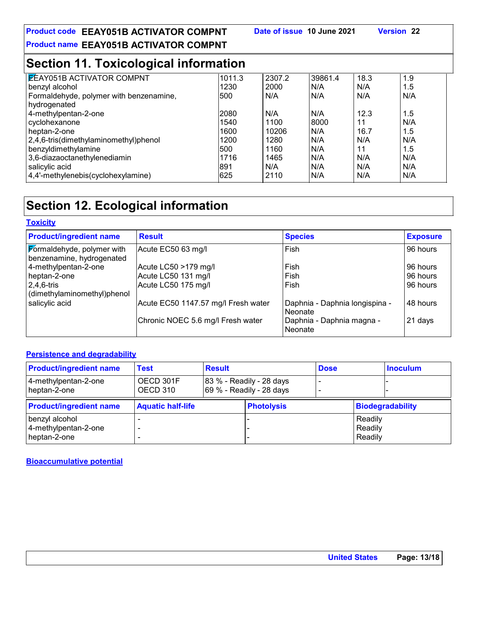# **Section 11. Toxicological information**

| <b>EEAY051B ACTIVATOR COMPNT</b>        | 1011.3     | 2307.2 | 39861.4 | 18.3 | 1.9 |
|-----------------------------------------|------------|--------|---------|------|-----|
| benzyl alcohol                          | 1230       | 2000   | N/A     | N/A  | 1.5 |
| Formaldehyde, polymer with benzenamine, | 500        | N/A    | N/A     | N/A  | N/A |
| hydrogenated                            |            |        |         |      |     |
| 4-methylpentan-2-one                    | 2080       | N/A    | N/A     | 12.3 | 1.5 |
| cyclohexanone                           | 1540       | 1100   | 8000    | 11   | N/A |
| heptan-2-one                            | 1600       | 10206  | N/A     | 16.7 | 1.5 |
| 2,4,6-tris(dimethylaminomethyl)phenol   | 1200       | 1280   | N/A     | N/A  | N/A |
| benzyldimethylamine                     | <b>500</b> | 1160   | N/A     | 11   | 1.5 |
| 3,6-diazaoctanethylenediamin            | 1716       | 1465   | N/A     | N/A  | N/A |
| salicylic acid                          | 891        | N/A    | N/A     | N/A  | N/A |
| 4,4'-methylenebis(cyclohexylamine)      | 625        | 2110   | N/A     | N/A  | N/A |

# **Section 12. Ecological information**

# **Toxicity**

| <b>Product/ingredient name</b>                          | <b>Result</b>                       | <b>Species</b>                            | <b>Exposure</b> |
|---------------------------------------------------------|-------------------------------------|-------------------------------------------|-----------------|
| Formaldehyde, polymer with<br>benzenamine, hydrogenated | Acute EC50 63 mg/l                  | Fish                                      | 96 hours        |
| 4-methylpentan-2-one                                    | Acute LC50 >179 mg/l                | Fish                                      | 96 hours        |
| heptan-2-one                                            | Acute LC50 131 mg/l                 | Fish                                      | 96 hours        |
| $2,4,6$ -tris<br>dimethylaminomethyl)phenol             | Acute LC50 175 mg/l                 | Fish                                      | 96 hours        |
| salicylic acid                                          | Acute EC50 1147.57 mg/l Fresh water | Daphnia - Daphnia longispina -<br>Neonate | 48 hours        |
|                                                         | Chronic NOEC 5.6 mg/l Fresh water   | Daphnia - Daphnia magna -<br>Neonate      | 21 days         |

# **Persistence and degradability**

| <b>Product/ingredient name</b>                         | <b>Test</b>              | <b>Result</b>                                          |                   | <b>Dose</b> |  | <b>Inoculum</b>               |  |
|--------------------------------------------------------|--------------------------|--------------------------------------------------------|-------------------|-------------|--|-------------------------------|--|
| 4-methylpentan-2-one<br>heptan-2-one                   | OECD 301F<br>OECD 310    | 83 % - Readily - 28 days<br>$ 69% - Readily - 28 days$ |                   |             |  |                               |  |
| <b>Product/ingredient name</b>                         | <b>Aquatic half-life</b> |                                                        | <b>Photolysis</b> |             |  | <b>Biodegradability</b>       |  |
| benzyl alcohol<br>4-methylpentan-2-one<br>heptan-2-one |                          |                                                        |                   |             |  | Readily<br>Readily<br>Readily |  |

**Bioaccumulative potential**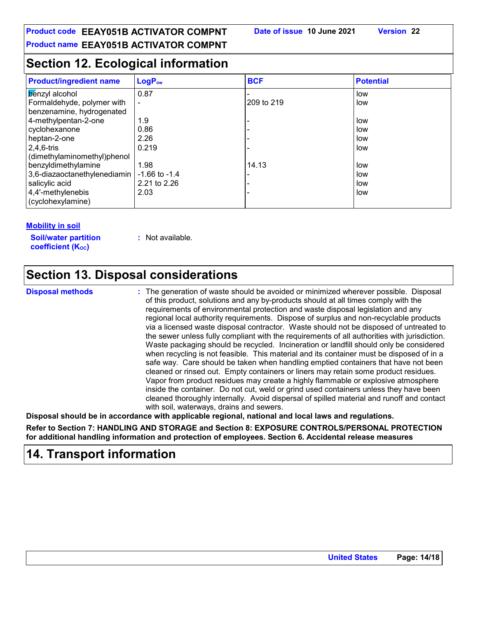# **Section 12. Ecological information**

| <b>Product/ingredient name</b> | $LogP_{ow}$       | <b>BCF</b> | <b>Potential</b> |
|--------------------------------|-------------------|------------|------------------|
| <b>b</b> enzyl alcohol         | 0.87              |            | low              |
| Formaldehyde, polymer with     |                   | 209 to 219 | low              |
| benzenamine, hydrogenated      |                   |            |                  |
| 4-methylpentan-2-one           | 1.9               |            | low              |
| cyclohexanone                  | 0.86              |            | low              |
| heptan-2-one                   | 2.26              |            | low              |
| $2,4,6$ -tris                  | 0.219             |            | low              |
| (dimethylaminomethyl)phenol    |                   |            |                  |
| benzyldimethylamine            | 1.98              | 14.13      | low              |
| 3,6-diazaoctanethylenediamin   | $-1.66$ to $-1.4$ |            | low              |
| salicylic acid                 | 2.21 to 2.26      |            | low              |
| 4,4'-methylenebis<br>2.03      |                   |            | low              |
| (cyclohexylamine)              |                   |            |                  |

#### **Mobility in soil**

**Soil/water partition coefficient (KOC)**

**:** Not available.

# **Section 13. Disposal considerations**

**Disposal methods :**

The generation of waste should be avoided or minimized wherever possible. Disposal of this product, solutions and any by-products should at all times comply with the requirements of environmental protection and waste disposal legislation and any regional local authority requirements. Dispose of surplus and non-recyclable products via a licensed waste disposal contractor. Waste should not be disposed of untreated to the sewer unless fully compliant with the requirements of all authorities with jurisdiction. Waste packaging should be recycled. Incineration or landfill should only be considered when recycling is not feasible. This material and its container must be disposed of in a safe way. Care should be taken when handling emptied containers that have not been cleaned or rinsed out. Empty containers or liners may retain some product residues. Vapor from product residues may create a highly flammable or explosive atmosphere inside the container. Do not cut, weld or grind used containers unless they have been cleaned thoroughly internally. Avoid dispersal of spilled material and runoff and contact with soil, waterways, drains and sewers.

**Disposal should be in accordance with applicable regional, national and local laws and regulations.**

**Refer to Section 7: HANDLING AND STORAGE and Section 8: EXPOSURE CONTROLS/PERSONAL PROTECTION for additional handling information and protection of employees. Section 6. Accidental release measures**

# **14. Transport information**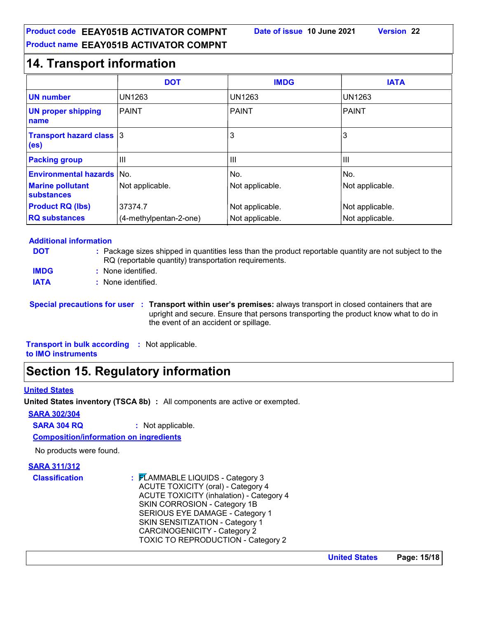# **14. Transport information**

|                                                      | <b>DOT</b>             | <b>IMDG</b>     | <b>IATA</b>     |
|------------------------------------------------------|------------------------|-----------------|-----------------|
| <b>UN number</b>                                     | UN1263                 | <b>UN1263</b>   | <b>UN1263</b>   |
| <b>UN proper shipping</b><br>name                    | <b>PAINT</b>           | <b>PAINT</b>    | PAINT           |
| <b>Transport hazard class 3</b><br>(e <sub>s</sub> ) |                        | 3               | 3               |
| <b>Packing group</b>                                 | Ш                      | Ш               | Ш               |
| <b>Environmental hazards</b>                         | No.                    | No.             | No.             |
| <b>Marine pollutant</b><br><b>substances</b>         | Not applicable.        | Not applicable. | Not applicable. |
| <b>Product RQ (lbs)</b>                              | 37374.7                | Not applicable. | Not applicable. |
| <b>RQ substances</b>                                 | (4-methylpentan-2-one) | Not applicable. | Not applicable. |

#### **Additional information**

- Package sizes shipped in quantities less than the product reportable quantity are not subject to the **:** RQ (reportable quantity) transportation requirements. **DOT**
- None identified. **: IMDG**
- **IATA :** None identified.
- **Special precautions for user Transport within user's premises:** always transport in closed containers that are **:** upright and secure. Ensure that persons transporting the product know what to do in the event of an accident or spillage.

**Transport in bulk according :** Not applicable. **to IMO instruments**

# **Section 15. Regulatory information**

#### **United States**

**United States inventory (TSCA 8b) :** All components are active or exempted.

**SARA 302/304**

**SARA 304 RQ :** Not applicable.

**Composition/information on ingredients**

No products were found.

#### **SARA 311/312**

| <b>Classification</b> | : FLAMMABLE LIQUIDS - Category 3                |
|-----------------------|-------------------------------------------------|
|                       | <b>ACUTE TOXICITY (oral) - Category 4</b>       |
|                       | <b>ACUTE TOXICITY (inhalation) - Category 4</b> |
|                       | SKIN CORROSION - Category 1B                    |
|                       | SERIOUS EYE DAMAGE - Category 1                 |
|                       | SKIN SENSITIZATION - Category 1                 |
|                       | <b>CARCINOGENICITY - Category 2</b>             |
|                       | <b>TOXIC TO REPRODUCTION - Category 2</b>       |

**United States Page: 15/18**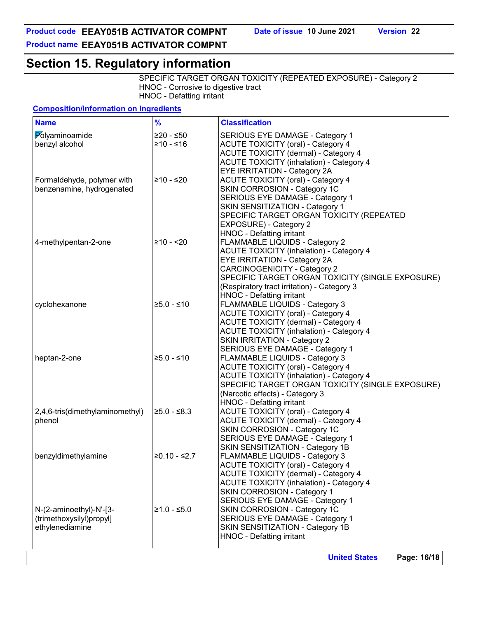# **Section 15. Regulatory information**

#### SPECIFIC TARGET ORGAN TOXICITY (REPEATED EXPOSURE) - Category 2 HNOC - Corrosive to digestive tract HNOC - Defatting irritant

#### **Composition/information on ingredients**

| <b>Name</b>                     | $\frac{9}{6}$  | <b>Classification</b>                            |
|---------------------------------|----------------|--------------------------------------------------|
| Polyaminoamide                  | $≥20 - ≤50$    | SERIOUS EYE DAMAGE - Category 1                  |
| benzyl alcohol                  | ≥10 - ≤16      | <b>ACUTE TOXICITY (oral) - Category 4</b>        |
|                                 |                | <b>ACUTE TOXICITY (dermal) - Category 4</b>      |
|                                 |                | <b>ACUTE TOXICITY (inhalation) - Category 4</b>  |
|                                 |                | EYE IRRITATION - Category 2A                     |
| Formaldehyde, polymer with      | ≥10 - ≤20      | <b>ACUTE TOXICITY (oral) - Category 4</b>        |
| benzenamine, hydrogenated       |                | SKIN CORROSION - Category 1C                     |
|                                 |                | SERIOUS EYE DAMAGE - Category 1                  |
|                                 |                |                                                  |
|                                 |                | SKIN SENSITIZATION - Category 1                  |
|                                 |                | SPECIFIC TARGET ORGAN TOXICITY (REPEATED         |
|                                 |                | EXPOSURE) - Category 2                           |
|                                 |                | HNOC - Defatting irritant                        |
| 4-methylpentan-2-one            | $≥10 - 20$     | FLAMMABLE LIQUIDS - Category 2                   |
|                                 |                | <b>ACUTE TOXICITY (inhalation) - Category 4</b>  |
|                                 |                | EYE IRRITATION - Category 2A                     |
|                                 |                | <b>CARCINOGENICITY - Category 2</b>              |
|                                 |                | SPECIFIC TARGET ORGAN TOXICITY (SINGLE EXPOSURE) |
|                                 |                | (Respiratory tract irritation) - Category 3      |
|                                 |                | <b>HNOC - Defatting irritant</b>                 |
| cyclohexanone                   | $≥5.0 - ≤10$   | <b>FLAMMABLE LIQUIDS - Category 3</b>            |
|                                 |                | <b>ACUTE TOXICITY (oral) - Category 4</b>        |
|                                 |                | <b>ACUTE TOXICITY (dermal) - Category 4</b>      |
|                                 |                |                                                  |
|                                 |                | <b>ACUTE TOXICITY (inhalation) - Category 4</b>  |
|                                 |                | SKIN IRRITATION - Category 2                     |
|                                 |                | SERIOUS EYE DAMAGE - Category 1                  |
| heptan-2-one                    | $≥5.0 - ≤10$   | FLAMMABLE LIQUIDS - Category 3                   |
|                                 |                | <b>ACUTE TOXICITY (oral) - Category 4</b>        |
|                                 |                | <b>ACUTE TOXICITY (inhalation) - Category 4</b>  |
|                                 |                | SPECIFIC TARGET ORGAN TOXICITY (SINGLE EXPOSURE) |
|                                 |                | (Narcotic effects) - Category 3                  |
|                                 |                | HNOC - Defatting irritant                        |
| 2,4,6-tris(dimethylaminomethyl) | $≥5.0 - ≤8.3$  | <b>ACUTE TOXICITY (oral) - Category 4</b>        |
| phenol                          |                | <b>ACUTE TOXICITY (dermal) - Category 4</b>      |
|                                 |                | SKIN CORROSION - Category 1C                     |
|                                 |                | SERIOUS EYE DAMAGE - Category 1                  |
|                                 |                | SKIN SENSITIZATION - Category 1B                 |
|                                 | $≥0.10 - ≤2.7$ |                                                  |
| benzyldimethylamine             |                | FLAMMABLE LIQUIDS - Category 3                   |
|                                 |                | <b>ACUTE TOXICITY (oral) - Category 4</b>        |
|                                 |                | <b>ACUTE TOXICITY (dermal) - Category 4</b>      |
|                                 |                | <b>ACUTE TOXICITY (inhalation) - Category 4</b>  |
|                                 |                | SKIN CORROSION - Category 1                      |
|                                 |                | SERIOUS EYE DAMAGE - Category 1                  |
| N-(2-aminoethyl)-N'-[3-         | $≥1.0 - ≤5.0$  | SKIN CORROSION - Category 1C                     |
| (trimethoxysilyl)propyl]        |                | SERIOUS EYE DAMAGE - Category 1                  |
| ethylenediamine                 |                | SKIN SENSITIZATION - Category 1B                 |
|                                 |                | HNOC - Defatting irritant                        |
|                                 |                |                                                  |
|                                 |                | Page: 16/18<br><b>United States</b>              |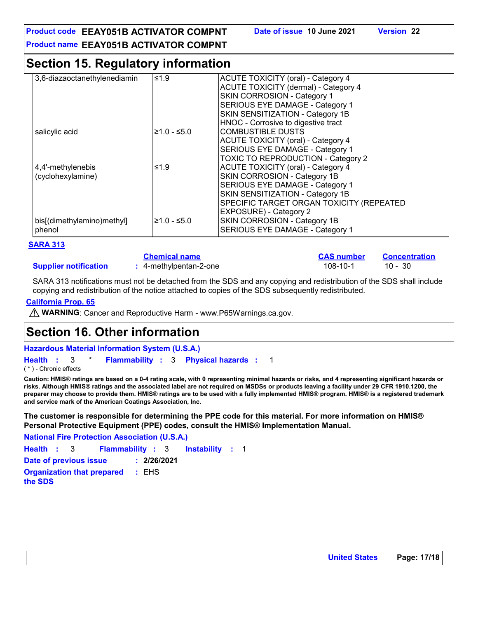**Product code EEAY051B ACTIVATOR COMPNT Date of issue 10 June 2021 Version 22**

**Product name EEAY051B ACTIVATOR COMPNT**

# **Section 15. Regulatory information**

| 3,6-diazaoctanethylenediamin | ≤1.9          | <b>ACUTE TOXICITY (oral) - Category 4</b>   |
|------------------------------|---------------|---------------------------------------------|
|                              |               | <b>ACUTE TOXICITY (dermal) - Category 4</b> |
|                              |               | SKIN CORROSION - Category 1                 |
|                              |               | SERIOUS EYE DAMAGE - Category 1             |
|                              |               | SKIN SENSITIZATION - Category 1B            |
|                              |               | HNOC - Corrosive to digestive tract         |
| salicylic acid               | $≥1.0 - ≤5.0$ | <b>COMBUSTIBLE DUSTS</b>                    |
|                              |               | <b>ACUTE TOXICITY (oral) - Category 4</b>   |
|                              |               | SERIOUS EYE DAMAGE - Category 1             |
|                              |               | <b>TOXIC TO REPRODUCTION - Category 2</b>   |
| 4,4'-methylenebis            | ≤1.9          | <b>ACUTE TOXICITY (oral) - Category 4</b>   |
| (cyclohexylamine)            |               | SKIN CORROSION - Category 1B                |
|                              |               | SERIOUS EYE DAMAGE - Category 1             |
|                              |               | SKIN SENSITIZATION - Category 1B            |
|                              |               | SPECIFIC TARGET ORGAN TOXICITY (REPEATED    |
|                              |               | EXPOSURE) - Category 2                      |
| bis[(dimethylamino)methyl]   | $≥1.0 - ≤5.0$ | SKIN CORROSION - Category 1B                |
| phenol                       |               | SERIOUS EYE DAMAGE - Category 1             |

#### **SARA 313**

|                              | <b>Chemical name</b>      | <b>CAS number</b> | Concentration |
|------------------------------|---------------------------|-------------------|---------------|
| <b>Supplier notification</b> | $: 4$ -methylpentan-2-one | 108-10-1          | 10 - 30       |

SARA 313 notifications must not be detached from the SDS and any copying and redistribution of the SDS shall include copying and redistribution of the notice attached to copies of the SDS subsequently redistributed.

#### **California Prop. 65**

**WARNING**: Cancer and Reproductive Harm - www.P65Warnings.ca.gov.

# **Section 16. Other information**

| <b>Hazardous Material Information System (U.S.A.)</b> |  |  |  |  |  |  |                                              |  |
|-------------------------------------------------------|--|--|--|--|--|--|----------------------------------------------|--|
| Health : $3$ $*$                                      |  |  |  |  |  |  | <b>Flammability : 3 Physical hazards : 1</b> |  |
| $(*)$ - Chronic effects                               |  |  |  |  |  |  |                                              |  |

**Caution: HMIS® ratings are based on a 0-4 rating scale, with 0 representing minimal hazards or risks, and 4 representing significant hazards or risks. Although HMIS® ratings and the associated label are not required on MSDSs or products leaving a facility under 29 CFR 1910.1200, the preparer may choose to provide them. HMIS® ratings are to be used with a fully implemented HMIS® program. HMIS® is a registered trademark and service mark of the American Coatings Association, Inc.**

**The customer is responsible for determining the PPE code for this material. For more information on HMIS® Personal Protective Equipment (PPE) codes, consult the HMIS® Implementation Manual.**

**Instability** : 1 **National Fire Protection Association (U.S.A.) Health**: 3 **Flammability**: 3 **Instability**: 1 **Date of previous issue : 2/26/2021 Organization that prepared the SDS :** EHS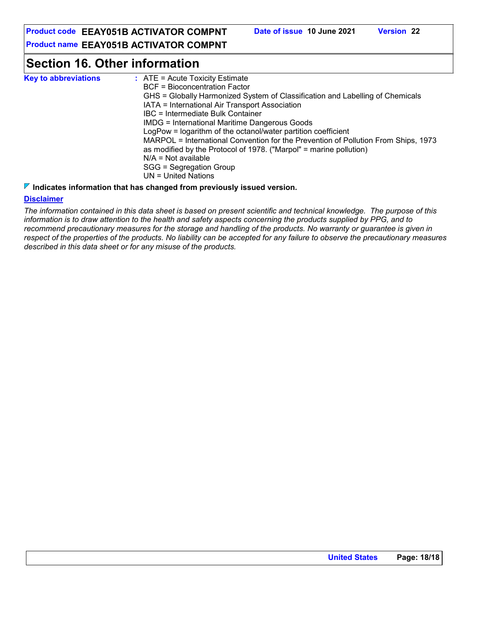**Product code EEAY051B ACTIVATOR COMPNT Date of issue 10 June 2021 Version 22**

**Product name EEAY051B ACTIVATOR COMPNT**

# **Section 16. Other information**

| <b>Key to abbreviations</b> | $:$ ATE = Acute Toxicity Estimate<br><b>BCF</b> = Bioconcentration Factor<br>GHS = Globally Harmonized System of Classification and Labelling of Chemicals<br>IATA = International Air Transport Association<br>IBC = Intermediate Bulk Container<br><b>IMDG</b> = International Maritime Dangerous Goods<br>LogPow = logarithm of the octanol/water partition coefficient<br>MARPOL = International Convention for the Prevention of Pollution From Ships, 1973<br>as modified by the Protocol of 1978. ("Marpol" = marine pollution) |
|-----------------------------|----------------------------------------------------------------------------------------------------------------------------------------------------------------------------------------------------------------------------------------------------------------------------------------------------------------------------------------------------------------------------------------------------------------------------------------------------------------------------------------------------------------------------------------|
|                             | $N/A = Not available$<br>SGG = Segregation Group<br>$UN = United Nations$                                                                                                                                                                                                                                                                                                                                                                                                                                                              |

## **Indicates information that has changed from previously issued version.**

#### **Disclaimer**

*The information contained in this data sheet is based on present scientific and technical knowledge. The purpose of this information is to draw attention to the health and safety aspects concerning the products supplied by PPG, and to* recommend precautionary measures for the storage and handling of the products. No warranty or quarantee is given in *respect of the properties of the products. No liability can be accepted for any failure to observe the precautionary measures described in this data sheet or for any misuse of the products.*